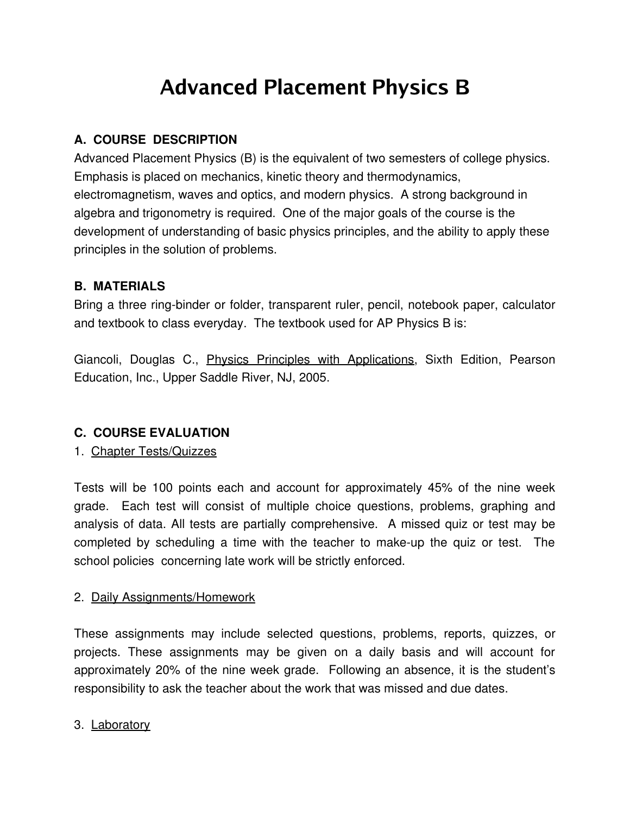# **Advanced Placement Physics B**

# **A. COURSE DESCRIPTION**

Advanced Placement Physics (B) is the equivalent of two semesters of college physics. Emphasis is placed on mechanics, kinetic theory and thermodynamics, electromagnetism, waves and optics, and modern physics. A strong background in algebra and trigonometry is required. One of the major goals of the course is the development of understanding of basic physics principles, and the ability to apply these principles in the solution of problems.

#### **B. MATERIALS**

Bring a three ring-binder or folder, transparent ruler, pencil, notebook paper, calculator and textbook to class everyday. The textbook used for AP Physics B is:

Giancoli, Douglas C., Physics Principles with Applications, Sixth Edition, Pearson Education, Inc., Upper Saddle River, NJ, 2005.

#### **C. COURSE EVALUATION**

#### 1. Chapter Tests/Quizzes

Tests will be 100 points each and account for approximately 45% of the nine week grade. Each test will consist of multiple choice questions, problems, graphing and analysis of data. All tests are partially comprehensive. A missed quiz or test may be completed by scheduling a time with the teacher to make-up the quiz or test. The school policies concerning late work will be strictly enforced.

#### 2. Daily Assignments/Homework

These assignments may include selected questions, problems, reports, quizzes, or projects. These assignments may be given on a daily basis and will account for approximately 20% of the nine week grade. Following an absence, it is the student's responsibility to ask the teacher about the work that was missed and due dates.

#### 3. Laboratory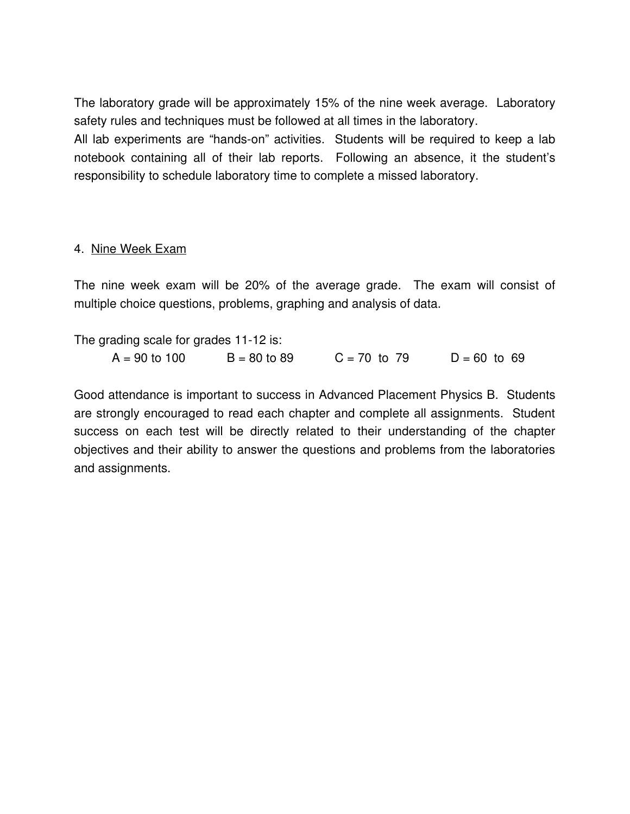The laboratory grade will be approximately 15% of the nine week average. Laboratory safety rules and techniques must be followed at all times in the laboratory.

All lab experiments are "hands-on" activities. Students will be required to keep a lab notebook containing all of their lab reports. Following an absence, it the student's responsibility to schedule laboratory time to complete a missed laboratory.

#### 4. Nine Week Exam

The nine week exam will be 20% of the average grade. The exam will consist of multiple choice questions, problems, graphing and analysis of data.

The grading scale for grades  $11-12$  is:

| $A = 90$ to 100 | $B = 80$ to 89 | $C = 70$ to 79 | $D = 60$ to 69 |
|-----------------|----------------|----------------|----------------|
|                 |                |                |                |

Good attendance is important to success in Advanced Placement Physics B. Students are strongly encouraged to read each chapter and complete all assignments. Student success on each test will be directly related to their understanding of the chapter objectives and their ability to answer the questions and problems from the laboratories and assignments.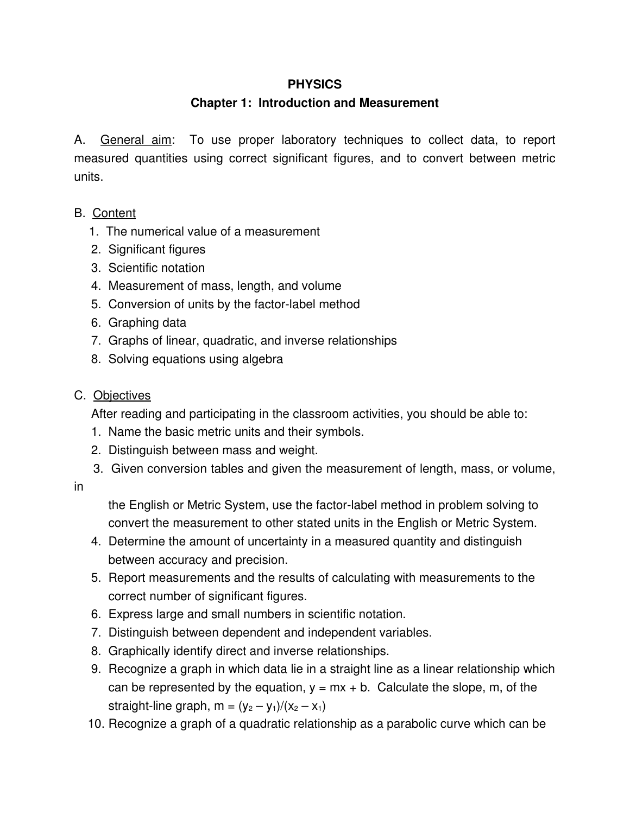#### **Chapter 1: Introduction and Measurement**

A. General aim: To use proper laboratory techniques to collect data, to report measured quantities using correct significant figures, and to convert between metric units.

- B. Content
	- 1. The numerical value of a measurement
	- 2. Significant figures
	- 3. Scientific notation
	- 4. Measurement of mass, length, and volume
	- 5. Conversion of units by the factor-label method
	- 6. Graphing data
	- 7. Graphs of linear, quadratic, and inverse relationships
	- 8. Solving equations using algebra

#### C. Objectives

After reading and participating in the classroom activities, you should be able to:

- 1. Name the basic metric units and their symbols.
- 2. Distinguish between mass and weight.
- 3. Given conversion tables and given the measurement of length, mass, or volume,
- in

the English or Metric System, use the factor-label method in problem solving to convert the measurement to other stated units in the English or Metric System.

- 4. Determine the amount of uncertainty in a measured quantity and distinguish between accuracy and precision.
- 5. Report measurements and the results of calculating with measurements to the correct number of significant figures.
- 6. Express large and small numbers in scientific notation.
- 7. Distinguish between dependent and independent variables.
- 8. Graphically identify direct and inverse relationships.
- 9. Recognize a graph in which data lie in a straight line as a linear relationship which can be represented by the equation,  $y = mx + b$ . Calculate the slope, m, of the straight-line graph, m =  $(y_2 - y_1)/(x_2 - x_1)$
- 10. Recognize a graph of a quadratic relationship as a parabolic curve which can be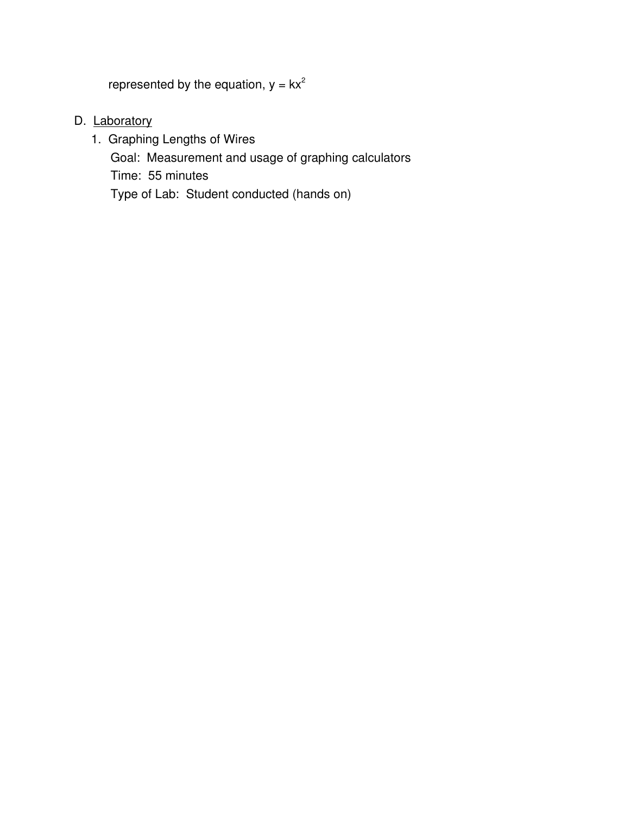represented by the equation,  $y = kx^2$ 

D. Laboratory

1. Graphing Lengths of Wires Goal: Measurement and usage of graphing calculators Time: 55 minutes Type of Lab: Student conducted (hands on)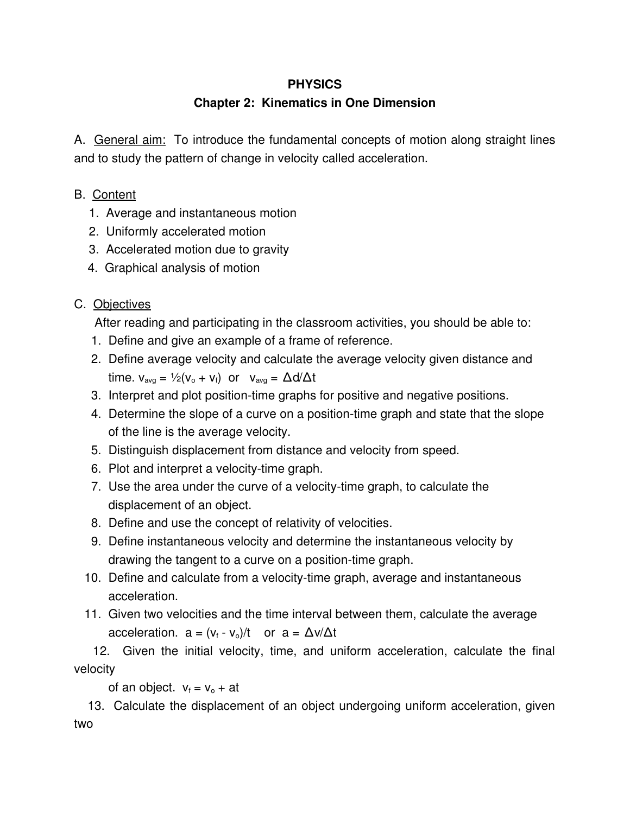# **Chapter 2: Kinematics in One Dimension**

A. General aim: To introduce the fundamental concepts of motion along straight lines and to study the pattern of change in velocity called acceleration.

- B. Content
	- 1. Average and instantaneous motion
	- 2. Uniformly accelerated motion
	- 3. Accelerated motion due to gravity
	- 4. Graphical analysis of motion

# C. Objectives

After reading and participating in the classroom activities, you should be able to:

- 1. Define and give an example of a frame of reference.
- 2. Define average velocity and calculate the average velocity given distance and time.  $v_{avg} = \frac{1}{2}(v_o + v_f)$  or  $v_{avg} = \Delta d/\Delta t$
- 3. Interpret and plot position-time graphs for positive and negative positions.
- 4. Determine the slope of a curve on a position-time graph and state that the slope of the line is the average velocity.
- 5. Distinguish displacement from distance and velocity from speed.
- 6. Plot and interpret a velocity-time graph.
- 7. Use the area under the curve of a velocity-time graph, to calculate the displacement of an object.
- 8. Define and use the concept of relativity of velocities.
- 9. Define instantaneous velocity and determine the instantaneous velocity by drawing the tangent to a curve on a position-time graph.
- 10. Define and calculate from a velocity-time graph, average and instantaneous acceleration.
- 11. Given two velocities and the time interval between them, calculate the average acceleration.  $a = (v_f - v_o)/t$  or  $a = \Delta v/\Delta t$

12. Given the initial velocity, time, and uniform acceleration, calculate the final velocity

of an object.  $v_f = v_o + at$ 

13. Calculate the displacement of an object undergoing uniform acceleration, given two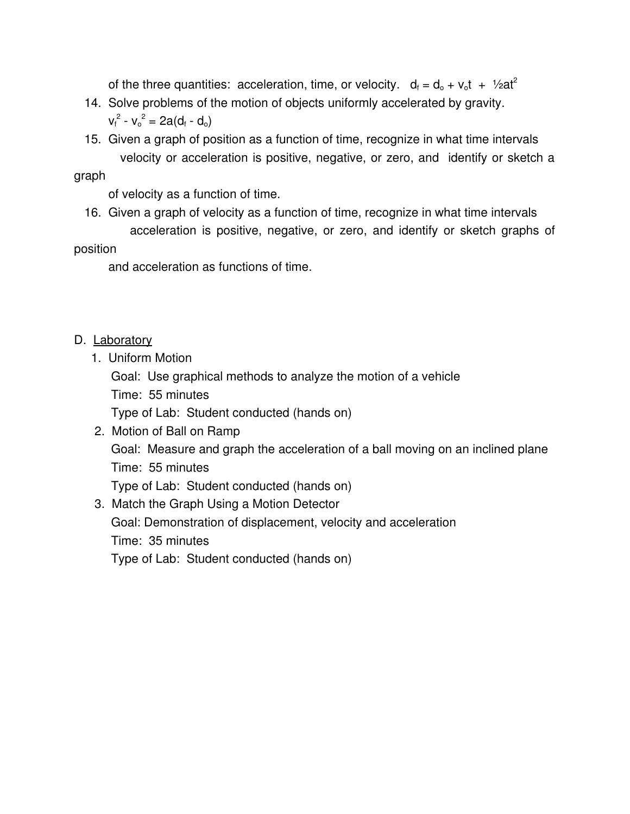of the three quantities: acceleration, time, or velocity.  $d_f = d_o + v_o t + 1/2at^2$ 

- 14. Solve problems of the motion of objects uniformly accelerated by gravity.  $v_f^2 - v_o^2 = 2a(d_f - d_o)$
- 15. Given a graph of position as a function of time, recognize in what time intervals velocity or acceleration is positive, negative, or zero, and identify or sketch a

graph

of velocity as a function of time.

16. Given a graph of velocity as a function of time, recognize in what time intervals acceleration is positive, negative, or zero, and identify or sketch graphs of

#### position

and acceleration as functions of time.

#### D. Laboratory

- 1. Uniform Motion
	- Goal: Use graphical methods to analyze the motion of a vehicle
	- Time: 55 minutes

Type of Lab: Student conducted (hands on)

2. Motion of Ball on Ramp Goal: Measure and graph the acceleration of a ball moving on an inclined plane Time: 55 minutes

Type of Lab: Student conducted (hands on)

3. Match the Graph Using a Motion Detector Goal: Demonstration of displacement, velocity and acceleration Time: 35 minutes Type of Lab: Student conducted (hands on)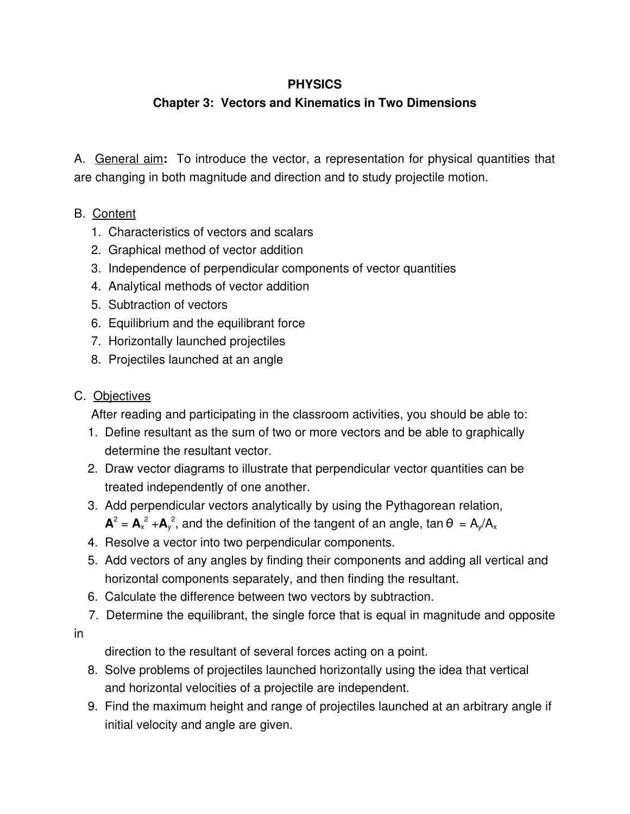# **Chapter 3: Vectors and Kinematics in Two Dimensions**

A. General aim**:** To introduce the vector, a representation for physical quantities that are changing in both magnitude and direction and to study projectile motion.

# B. Content

- 1. Characteristics of vectors and scalars
- 2. Graphical method of vector addition
- 3. Independence of perpendicular components of vector quantities
- 4. Analytical methods of vector addition
- 5. Subtraction of vectors
- 6. Equilibrium and the equilibrant force
- 7. Horizontally launched projectiles
- 8. Projectiles launched at an angle

#### C. Objectives

After reading and participating in the classroom activities, you should be able to:

- 1. Define resultant as the sum of two or more vectors and be able to graphically determine the resultant vector.
- 2. Draw vector diagrams to illustrate that perpendicular vector quantities can be treated independently of one another.
- 3. Add perpendicular vectors analytically by using the Pythagorean relation,
	- $A^2 = A_x^2 + A_y^2$ , and the definition of the tangent of an angle, tan  $\theta = A_y/A_x$
- 4. Resolve a vector into two perpendicular components.
- 5. Add vectors of any angles by finding their components and adding all vertical and horizontal components separately, and then finding the resultant.
- 6. Calculate the difference between two vectors by subtraction.
- 7. Determine the equilibrant, the single force that is equal in magnitude and opposite

in

direction to the resultant of several forces acting on a point.

- 8. Solve problems of projectiles launched horizontally using the idea that vertical and horizontal velocities of a projectile are independent.
- 9. Find the maximum height and range of projectiles launched at an arbitrary angle if initial velocity and angle are given.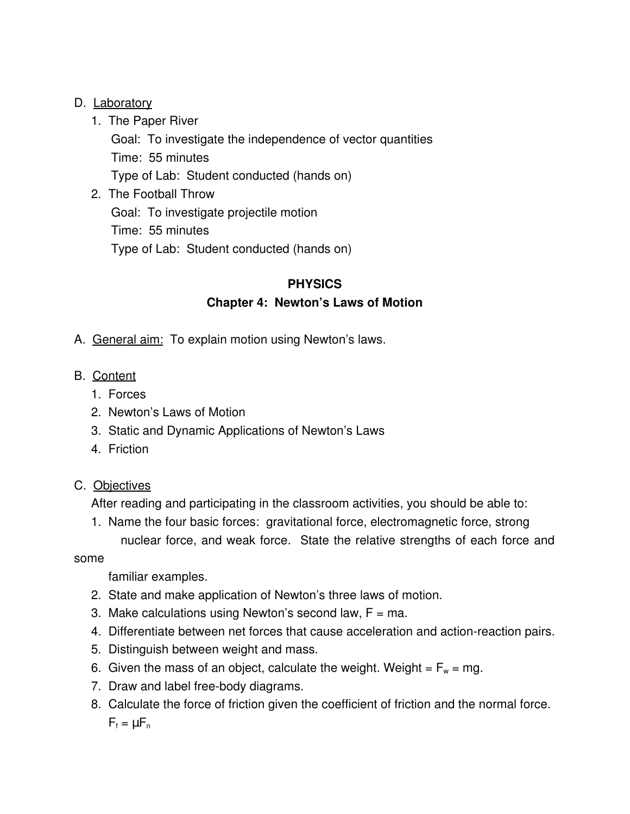#### D. Laboratory

- 1. The Paper River
	- Goal: To investigate the independence of vector quantities Time: 55 minutes Type of Lab: Student conducted (hands on)
- 2. The Football Throw Goal: To investigate projectile motion Time: 55 minutes Type of Lab: Student conducted (hands on)

# **PHYSICS Chapter 4: Newton's Laws of Motion**

- A. General aim: To explain motion using Newton's laws.
- B. Content
	- 1. Forces
	- 2. Newton's Laws of Motion
	- 3. Static and Dynamic Applications of Newton's Laws
	- 4. Friction
- C. Objectives

After reading and participating in the classroom activities, you should be able to:

1. Name the four basic forces: gravitational force, electromagnetic force, strong nuclear force, and weak force. State the relative strengths of each force and

#### some

#### familiar examples.

- 2. State and make application of Newton's three laws of motion.
- 3. Make calculations using Newton's second law,  $F = ma$ .
- 4. Differentiate between net forces that cause acceleration and action-reaction pairs.
- 5. Distinguish between weight and mass.
- 6. Given the mass of an object, calculate the weight. Weight =  $F_w = mg$ .
- 7. Draw and label free-body diagrams.
- 8. Calculate the force of friction given the coefficient of friction and the normal force.  $F_f = \mu F_n$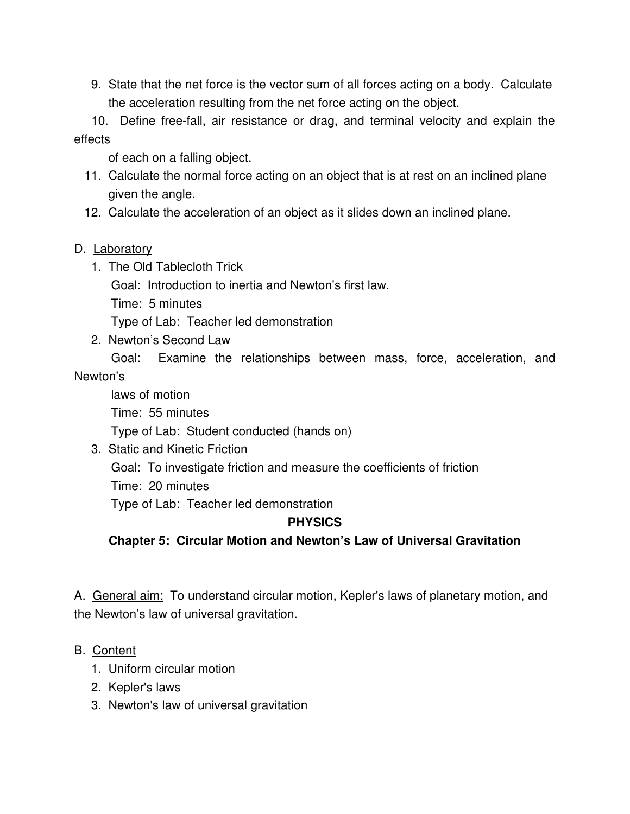9. State that the net force is the vector sum of all forces acting on a body. Calculate the acceleration resulting from the net force acting on the object.

10. Define free-fall, air resistance or drag, and terminal velocity and explain the effects

of each on a falling object.

- 11. Calculate the normal force acting on an object that is at rest on an inclined plane given the angle.
- 12. Calculate the acceleration of an object as it slides down an inclined plane.

#### D. Laboratory

1. The Old Tablecloth Trick

Goal: Introduction to inertia and Newton's first law.

Time: 5 minutes

Type of Lab: Teacher led demonstration

2. Newton's Second Law

Goal: Examine the relationships between mass, force, acceleration, and

#### Newton's

laws of motion Time: 55 minutes Type of Lab: Student conducted (hands on)

3. Static and Kinetic Friction

Goal: To investigate friction and measure the coefficients of friction

Time: 20 minutes

Type of Lab: Teacher led demonstration

#### **PHYSICS**

**Chapter 5: Circular Motion and Newton's Law of Universal Gravitation**

A. General aim: To understand circular motion, Kepler's laws of planetary motion, and the Newton's law of universal gravitation.

#### B. Content

- 1. Uniform circular motion
- 2. Kepler's laws
- 3. Newton's law of universal gravitation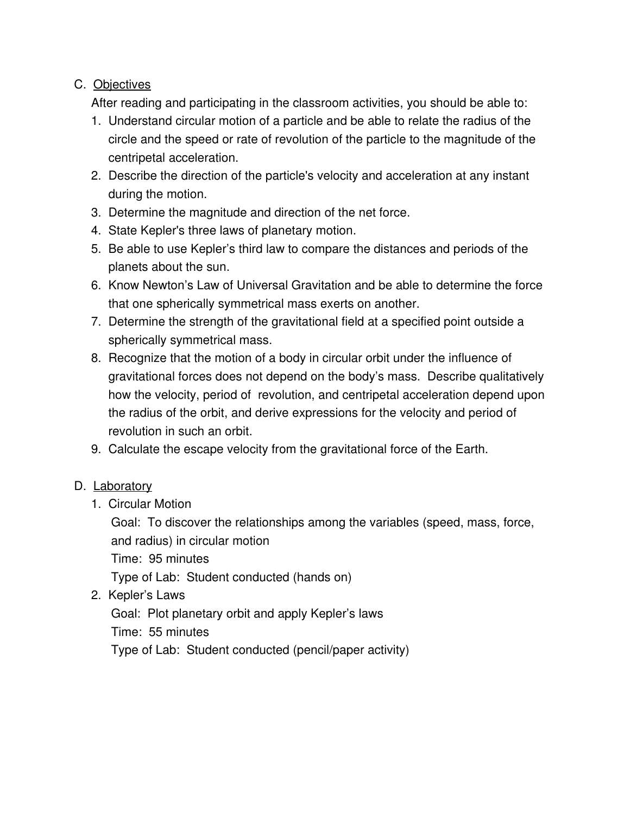# C. Objectives

After reading and participating in the classroom activities, you should be able to:

- 1. Understand circular motion of a particle and be able to relate the radius of the circle and the speed or rate of revolution of the particle to the magnitude of the centripetal acceleration.
- 2. Describe the direction of the particle's velocity and acceleration at any instant during the motion.
- 3. Determine the magnitude and direction of the net force.
- 4. State Kepler's three laws of planetary motion.
- 5. Be able to use Kepler's third law to compare the distances and periods of the planets about the sun.
- 6. Know Newton's Law of Universal Gravitation and be able to determine the force that one spherically symmetrical mass exerts on another.
- 7. Determine the strength of the gravitational field at a specified point outside a spherically symmetrical mass.
- 8. Recognize that the motion of a body in circular orbit under the influence of gravitational forces does not depend on the body's mass. Describe qualitatively how the velocity, period of revolution, and centripetal acceleration depend upon the radius of the orbit, and derive expressions for the velocity and period of revolution in such an orbit.
- 9. Calculate the escape velocity from the gravitational force of the Earth.

#### D. Laboratory

1. Circular Motion

Goal: To discover the relationships among the variables (speed, mass, force, and radius) in circular motion

Time: 95 minutes

Type of Lab: Student conducted (hands on)

2. Kepler's Laws

Goal: Plot planetary orbit and apply Kepler's laws

Time: 55 minutes

Type of Lab: Student conducted (pencil/paper activity)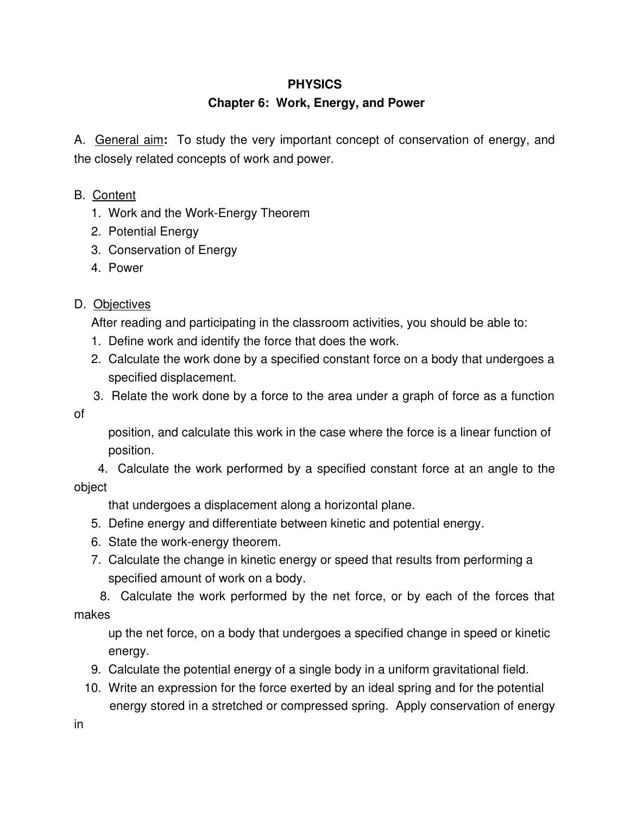#### **Chapter 6: Work, Energy, and Power**

A. General aim**:** To study the very important concept of conservation of energy, and the closely related concepts of work and power.

#### B. Content

- 1. Work and the Work-Energy Theorem
- 2. Potential Energy
- 3. Conservation of Energy
- 4. Power

#### D. Objectives

After reading and participating in the classroom activities, you should be able to:

- 1. Define work and identify the force that does the work.
- 2. Calculate the work done by a specified constant force on a body that undergoes a specified displacement.
- 3. Relate the work done by a force to the area under a graph of force as a function

of

position, and calculate this work in the case where the force is a linear function of position.

4. Calculate the work performed by a specified constant force at an angle to the object

that undergoes a displacement along a horizontal plane.

- 5. Define energy and differentiate between kinetic and potential energy.
- 6. State the work-energy theorem.
- 7. Calculate the change in kinetic energy or speed that results from performing a specified amount of work on a body.

8. Calculate the work performed by the net force, or by each of the forces that makes

up the net force, on a body that undergoes a specified change in speed or kinetic energy.

- 9. Calculate the potential energy of a single body in a uniform gravitational field.
- 10. Write an expression for the force exerted by an ideal spring and for the potential energy stored in a stretched or compressed spring. Apply conservation of energy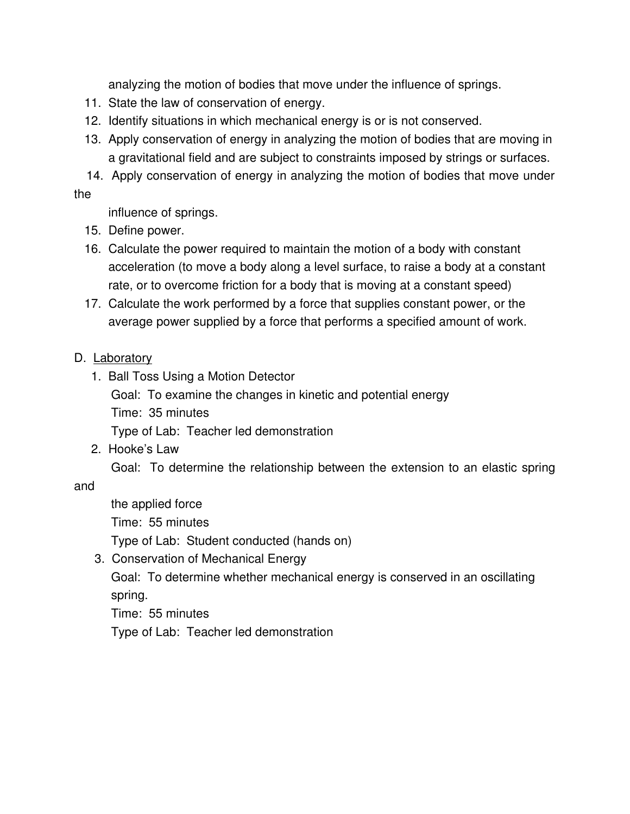analyzing the motion of bodies that move under the influence of springs.

- 11. State the law of conservation of energy.
- 12. Identify situations in which mechanical energy is or is not conserved.
- 13. Apply conservation of energy in analyzing the motion of bodies that are moving in a gravitational field and are subject to constraints imposed by strings or surfaces.

14. Apply conservation of energy in analyzing the motion of bodies that move under the

influence of springs.

- 15. Define power.
- 16. Calculate the power required to maintain the motion of a body with constant acceleration (to move a body along a level surface, to raise a body at a constant rate, or to overcome friction for a body that is moving at a constant speed)
- 17. Calculate the work performed by a force that supplies constant power, or the average power supplied by a force that performs a specified amount of work.

#### D. Laboratory

1. Ball Toss Using a Motion Detector Goal: To examine the changes in kinetic and potential energy Time: 35 minutes

Type of Lab: Teacher led demonstration

2. Hooke's Law

Goal: To determine the relationship between the extension to an elastic spring

and

the applied force Time: 55 minutes Type of Lab: Student conducted (hands on)

3. Conservation of Mechanical Energy

Goal: To determine whether mechanical energy is conserved in an oscillating spring.

Time: 55 minutes

Type of Lab: Teacher led demonstration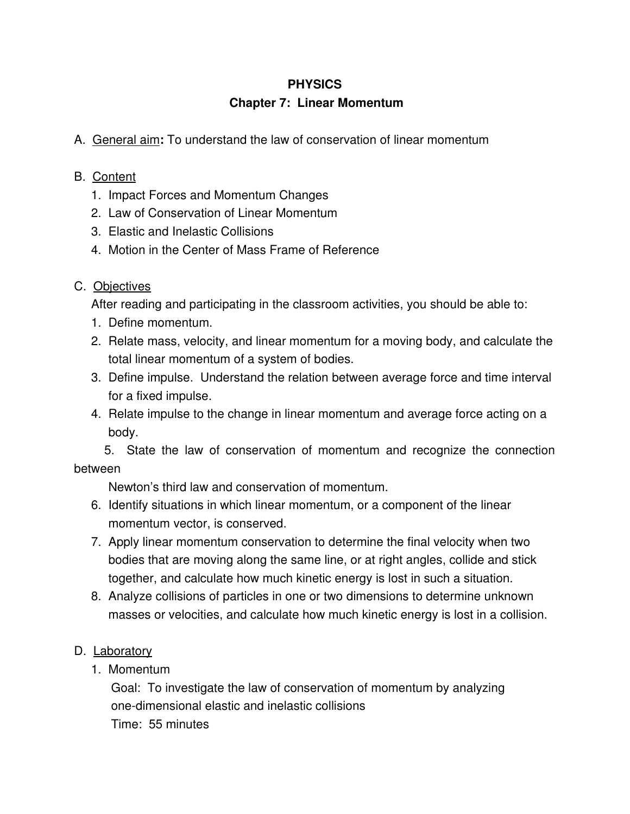## **Chapter 7: Linear Momentum**

A. General aim**:** To understand the law of conservation of linear momentum

# B. Content

- 1. Impact Forces and Momentum Changes
- 2. Law of Conservation of Linear Momentum
- 3. Elastic and Inelastic Collisions
- 4. Motion in the Center of Mass Frame of Reference

# C. Objectives

After reading and participating in the classroom activities, you should be able to:

- 1. Define momentum.
- 2. Relate mass, velocity, and linear momentum for a moving body, and calculate the total linear momentum of a system of bodies.
- 3. Define impulse. Understand the relation between average force and time interval for a fixed impulse.
- 4. Relate impulse to the change in linear momentum and average force acting on a body.

5. State the law of conservation of momentum and recognize the connection between

Newton's third law and conservation of momentum.

- 6. Identify situations in which linear momentum, or a component of the linear momentum vector, is conserved.
- 7. Apply linear momentum conservation to determine the final velocity when two bodies that are moving along the same line, or at right angles, collide and stick together, and calculate how much kinetic energy is lost in such a situation.
- 8. Analyze collisions of particles in one or two dimensions to determine unknown masses or velocities, and calculate how much kinetic energy is lost in a collision.

# D. Laboratory

1. Momentum

Goal: To investigate the law of conservation of momentum by analyzing one-dimensional elastic and inelastic collisions Time: 55 minutes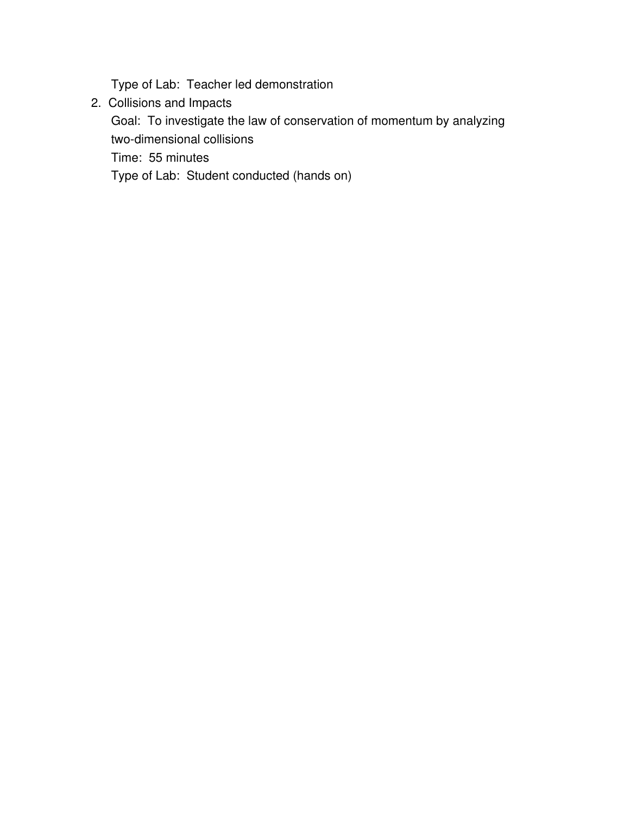Type of Lab: Teacher led demonstration

2. Collisions and Impacts

Goal: To investigate the law of conservation of momentum by analyzing two-dimensional collisions

Time: 55 minutes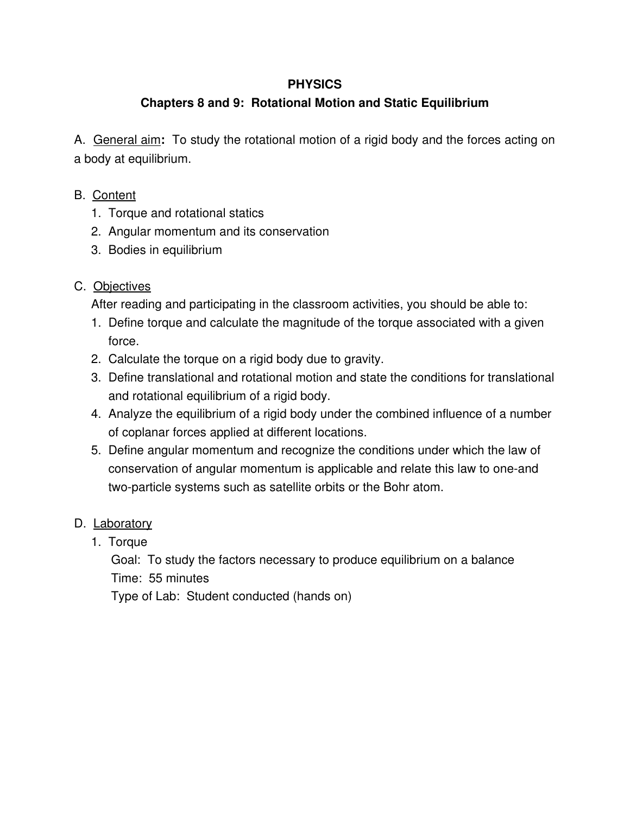# **Chapters 8 and 9: Rotational Motion and Static Equilibrium**

A. General aim**:** To study the rotational motion of a rigid body and the forces acting on a body at equilibrium.

# B. Content

- 1. Torque and rotational statics
- 2. Angular momentum and its conservation
- 3. Bodies in equilibrium

# C. Objectives

After reading and participating in the classroom activities, you should be able to:

- 1. Define torque and calculate the magnitude of the torque associated with a given force.
- 2. Calculate the torque on a rigid body due to gravity.
- 3. Define translational and rotational motion and state the conditions for translational and rotational equilibrium of a rigid body.
- 4. Analyze the equilibrium of a rigid body under the combined influence of a number of coplanar forces applied at different locations.
- 5. Define angular momentum and recognize the conditions under which the law of conservation of angular momentum is applicable and relate this law to one-and two-particle systems such as satellite orbits or the Bohr atom.

# D. Laboratory

1. Torque

Goal: To study the factors necessary to produce equilibrium on a balance Time: 55 minutes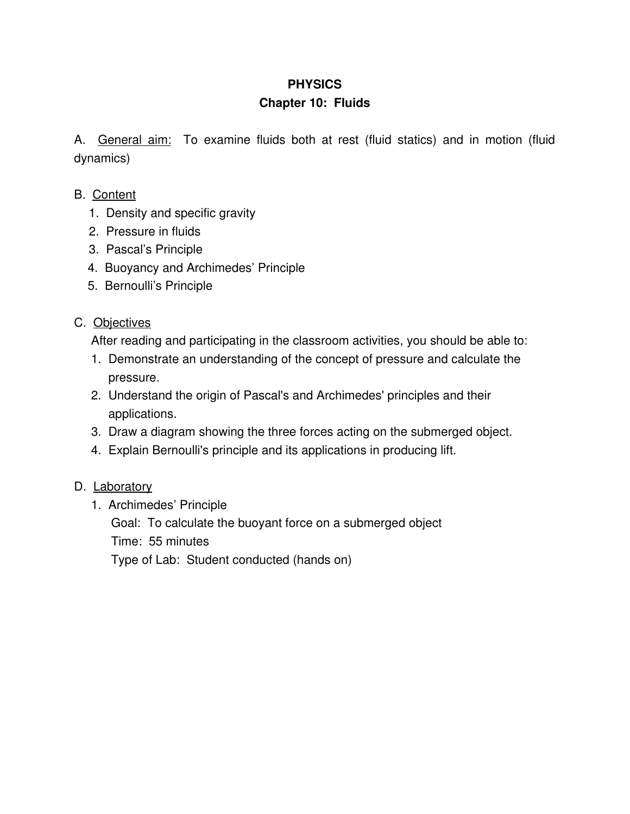#### **Chapter 10: Fluids**

A. General aim: To examine fluids both at rest (fluid statics) and in motion (fluid dynamics)

- B. Content
	- 1. Density and specific gravity
	- 2. Pressure in fluids
	- 3. Pascal's Principle
	- 4. Buoyancy and Archimedes' Principle
	- 5. Bernoulli's Principle

#### C. Objectives

After reading and participating in the classroom activities, you should be able to:

- 1. Demonstrate an understanding of the concept of pressure and calculate the pressure.
- 2. Understand the origin of Pascal's and Archimedes' principles and their applications.
- 3. Draw a diagram showing the three forces acting on the submerged object.
- 4. Explain Bernoulli's principle and its applications in producing lift.

#### D. Laboratory

1. Archimedes' Principle

Goal: To calculate the buoyant force on a submerged object

Time: 55 minutes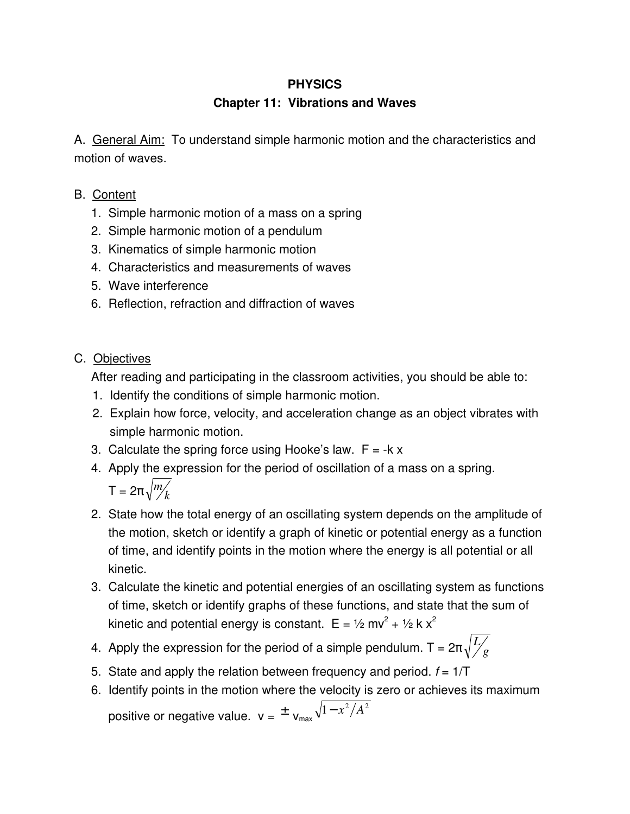#### **Chapter 11: Vibrations and Waves**

A. General Aim: To understand simple harmonic motion and the characteristics and motion of waves.

- B. Content
	- 1. Simple harmonic motion of a mass on a spring
	- 2. Simple harmonic motion of a pendulum
	- 3. Kinematics of simple harmonic motion
	- 4. Characteristics and measurements of waves
	- 5. Wave interference
	- 6. Reflection, refraction and diffraction of waves

#### C. Objectives

After reading and participating in the classroom activities, you should be able to:

- 1. Identify the conditions of simple harmonic motion.
- 2. Explain how force, velocity, and acceleration change as an object vibrates with simple harmonic motion.
- 3. Calculate the spring force using Hooke's law.  $F = -k \times$
- 4. Apply the expression for the period of oscillation of a mass on a spring.  $\mathsf{T}=2\pi\sqrt{\frac{m}{k}}$
- 2. State how the total energy of an oscillating system depends on the amplitude of the motion, sketch or identify a graph of kinetic or potential energy as a function of time, and identify points in the motion where the energy is all potential or all kinetic.
- 3. Calculate the kinetic and potential energies of an oscillating system as functions of time, sketch or identify graphs of these functions, and state that the sum of kinetic and potential energy is constant.  $E = \frac{1}{2} m v^2 + \frac{1}{2} k x^2$
- 4. Apply the expression for the period of a simple pendulum. T =  $2\pi\sqrt{\frac{L}{g}}$
- 5. State and apply the relation between frequency and period.  $f = 1/T$
- 6. Identify points in the motion where the velocity is zero or achieves its maximum positive or negative value.  $\mathsf{v} = \tfrac{1}{2} \mathsf{v}_{\mathsf{max}} \sqrt{1-x^2/A^2}$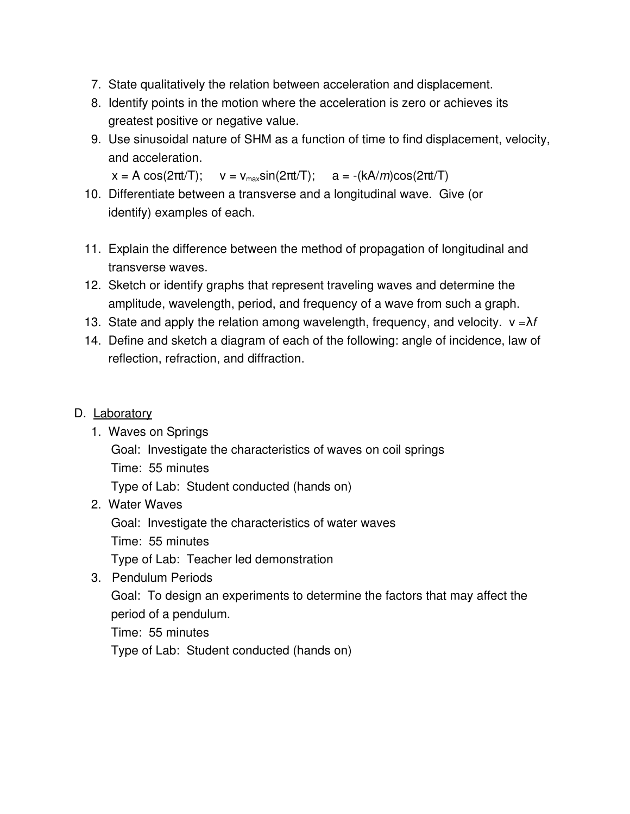- 7. State qualitatively the relation between acceleration and displacement.
- 8. Identify points in the motion where the acceleration is zero or achieves its greatest positive or negative value.
- 9. Use sinusoidal nature of SHM as a function of time to find displacement, velocity, and acceleration.

```
x = A \cos(2\pi t/T); v = v_{max} \sin(2\pi t/T); a = -(kA/m)\cos(2\pi t/T)
```
- 10. Differentiate between a transverse and a longitudinal wave. Give (or identify) examples of each.
- 11. Explain the difference between the method of propagation of longitudinal and transverse waves.
- 12. Sketch or identify graphs that represent traveling waves and determine the amplitude, wavelength, period, and frequency of a wave from such a graph.
- 13. State and apply the relation among wavelength, frequency, and velocity.  $v = \lambda f$
- 14. Define and sketch a diagram of each of the following: angle of incidence, law of reflection, refraction, and diffraction.

#### D. Laboratory

- 1. Waves on Springs
	- Goal: Investigate the characteristics of waves on coil springs
	- Time: 55 minutes

Type of Lab: Student conducted (hands on)

2. Water Waves

Goal: Investigate the characteristics of water waves

Time: 55 minutes

Type of Lab: Teacher led demonstration

3. Pendulum Periods

Goal: To design an experiments to determine the factors that may affect the period of a pendulum.

Time: 55 minutes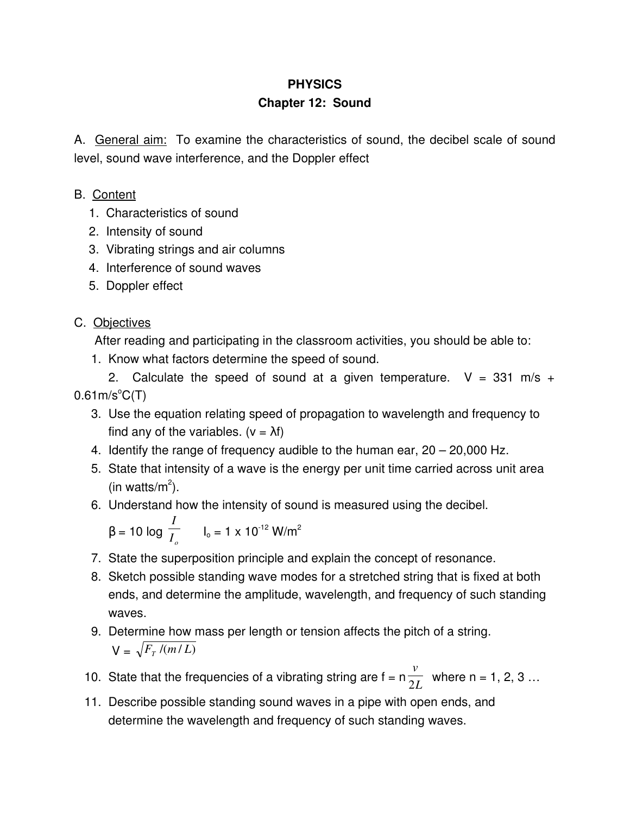# **PHYSICS Chapter 12: Sound**

A. General aim: To examine the characteristics of sound, the decibel scale of sound level, sound wave interference, and the Doppler effect

## B. Content

- 1. Characteristics of sound
- 2. Intensity of sound
- 3. Vibrating strings and air columns
- 4. Interference of sound waves
- 5. Doppler effect

# C. Objectives

After reading and participating in the classroom activities, you should be able to:

1. Know what factors determine the speed of sound.

2. Calculate the speed of sound at a given temperature.  $V = 331$  m/s +  $0.61$ m/s $^{\circ}$ C(T)

- 3. Use the equation relating speed of propagation to wavelength and frequency to find any of the variables.  $(v = \lambda f)$
- 4. Identify the range of frequency audible to the human ear, 20 20,000 Hz.
- 5. State that intensity of a wave is the energy per unit time carried across unit area (in watts/ $m^2$ ).
- 6. Understand how the intensity of sound is measured using the decibel.

$$
\beta = 10 \log \frac{I}{I_o} \qquad I_o = 1 \times 10^{-12} \text{ W/m}^2
$$

- 7. State the superposition principle and explain the concept of resonance.
- 8. Sketch possible standing wave modes for a stretched string that is fixed at both ends, and determine the amplitude, wavelength, and frequency of such standing waves.
- 9. Determine how mass per length or tension affects the pitch of a string.  $V = \sqrt{F_T/(m/L)}$
- 10. State that the frequencies of a vibrating string are  $f = n \frac{1}{2L}$ *v*  $\frac{1}{2L}$  where n = 1, 2, 3 ...
- 11. Describe possible standing sound waves in a pipe with open ends, and determine the wavelength and frequency of such standing waves.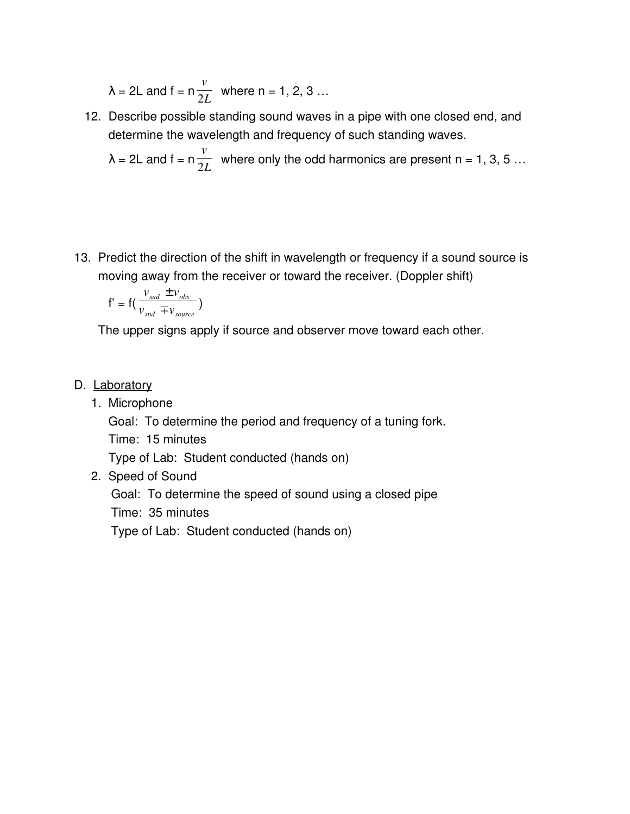$$
\lambda = 2L \text{ and } f = n \frac{v}{2L} \text{ where } n = 1, 2, 3 \dots
$$

12. Describe possible standing sound waves in a pipe with one closed end, and determine the wavelength and frequency of such standing waves.

$$
\lambda = 2L
$$
 and  $f = n \frac{v}{2L}$  where only the odd harmonics are present n = 1, 3, 5 ...

13. Predict the direction of the shift in wavelength or frequency if a sound source is moving away from the receiver or toward the receiver. (Doppler shift)

$$
f' = f\left(\frac{v_{\text{snd}} \pm v_{\text{obs}}}{v_{\text{snd}} \mp v_{\text{source}}}\right)
$$

The upper signs apply if source and observer move toward each other.

#### D. Laboratory

1. Microphone

Goal: To determine the period and frequency of a tuning fork.

Time: 15 minutes

Type of Lab: Student conducted (hands on)

2. Speed of Sound

Goal: To determine the speed of sound using a closed pipe

Time: 35 minutes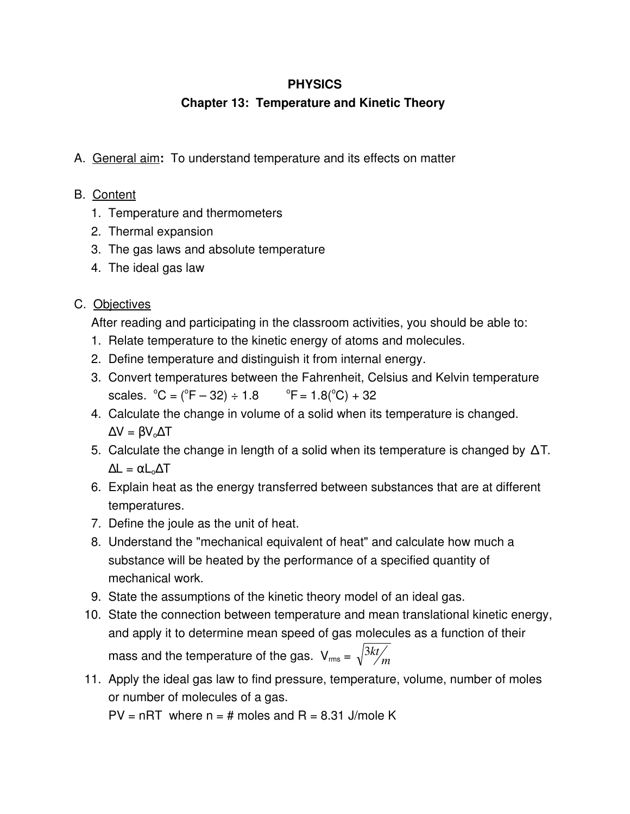## **Chapter 13: Temperature and Kinetic Theory**

A. General aim**:** To understand temperature and its effects on matter

#### B. Content

- 1. Temperature and thermometers
- 2. Thermal expansion
- 3. The gas laws and absolute temperature
- 4. The ideal gas law

# C. Objectives

After reading and participating in the classroom activities, you should be able to:

- 1. Relate temperature to the kinetic energy of atoms and molecules.
- 2. Define temperature and distinguish it from internal energy.
- 3. Convert temperatures between the Fahrenheit, Celsius and Kelvin temperature scales.  $^{\circ}C = (^{\circ}F - 32) \div 1.8$  $^{\circ}$ F = 1.8( $^{\circ}$ C) + 32
- 4. Calculate the change in volume of a solid when its temperature is changed.  $\Delta V = \beta V_0 \Delta T$
- 5. Calculate the change in length of a solid when its temperature is changed by ΔT.  $\Delta L = \alpha L_0 \Delta T$
- 6. Explain heat as the energy transferred between substances that are at different temperatures.
- 7. Define the joule as the unit of heat.
- 8. Understand the "mechanical equivalent of heat" and calculate how much a substance will be heated by the performance of a specified quantity of mechanical work.
- 9. State the assumptions of the kinetic theory model of an ideal gas.
- 10. State the connection between temperature and mean translational kinetic energy, and apply it to determine mean speed of gas molecules as a function of their mass and the temperature of the gas.  $\rm V_{rms}$  =  $\sqrt{3kt}\!\!\big/_{\!\!m}$
- 11. Apply the ideal gas law to find pressure, temperature, volume, number of moles or number of molecules of a gas.

 $PV = nRT$  where  $n = #$  moles and  $R = 8.31$  J/mole K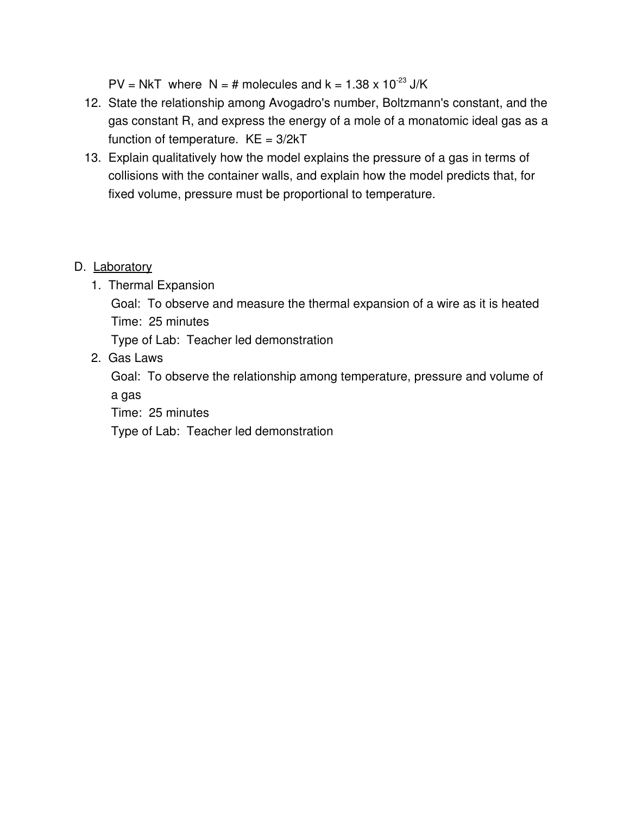$PV = NkT$  where  $N = #$  molecules and  $k = 1.38 \times 10^{-23}$  J/K

- 12. State the relationship among Avogadro's number, Boltzmann's constant, and the gas constant R, and express the energy of a mole of a monatomic ideal gas as a function of temperature.  $KE = 3/2kT$
- 13. Explain qualitatively how the model explains the pressure of a gas in terms of collisions with the container walls, and explain how the model predicts that, for fixed volume, pressure must be proportional to temperature.

#### D. Laboratory

1. Thermal Expansion

Goal: To observe and measure the thermal expansion of a wire as it is heated Time: 25 minutes

Type of Lab: Teacher led demonstration

2. Gas Laws

Goal: To observe the relationship among temperature, pressure and volume of a gas

Time: 25 minutes

Type of Lab: Teacher led demonstration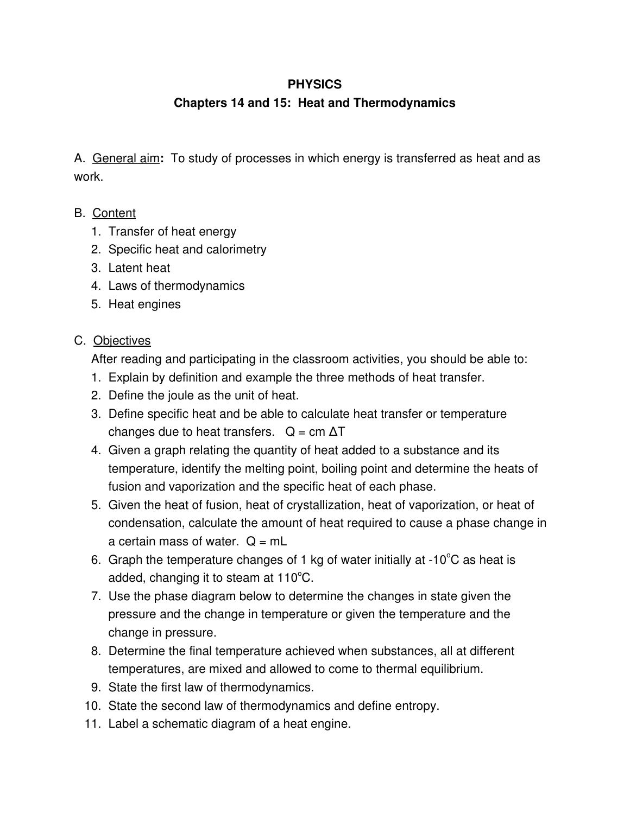#### **Chapters 14 and 15: Heat and Thermodynamics**

A. General aim**:** To study of processes in which energy is transferred as heat and as work.

#### B. Content

- 1. Transfer of heat energy
- 2. Specific heat and calorimetry
- 3. Latent heat
- 4. Laws of thermodynamics
- 5. Heat engines

#### C. Objectives

After reading and participating in the classroom activities, you should be able to:

- 1. Explain by definition and example the three methods of heat transfer.
- 2. Define the joule as the unit of heat.
- 3. Define specific heat and be able to calculate heat transfer or temperature changes due to heat transfers.  $Q = cm \Delta T$
- 4. Given a graph relating the quantity of heat added to a substance and its temperature, identify the melting point, boiling point and determine the heats of fusion and vaporization and the specific heat of each phase.
- 5. Given the heat of fusion, heat of crystallization, heat of vaporization, or heat of condensation, calculate the amount of heat required to cause a phase change in a certain mass of water.  $Q = mL$
- 6. Graph the temperature changes of 1 kg of water initially at  $-10^{\circ}$ C as heat is added, changing it to steam at  $110^{\circ}$ C.
- 7. Use the phase diagram below to determine the changes in state given the pressure and the change in temperature or given the temperature and the change in pressure.
- 8. Determine the final temperature achieved when substances, all at different temperatures, are mixed and allowed to come to thermal equilibrium.
- 9. State the first law of thermodynamics.
- 10. State the second law of thermodynamics and define entropy.
- 11. Label a schematic diagram of a heat engine.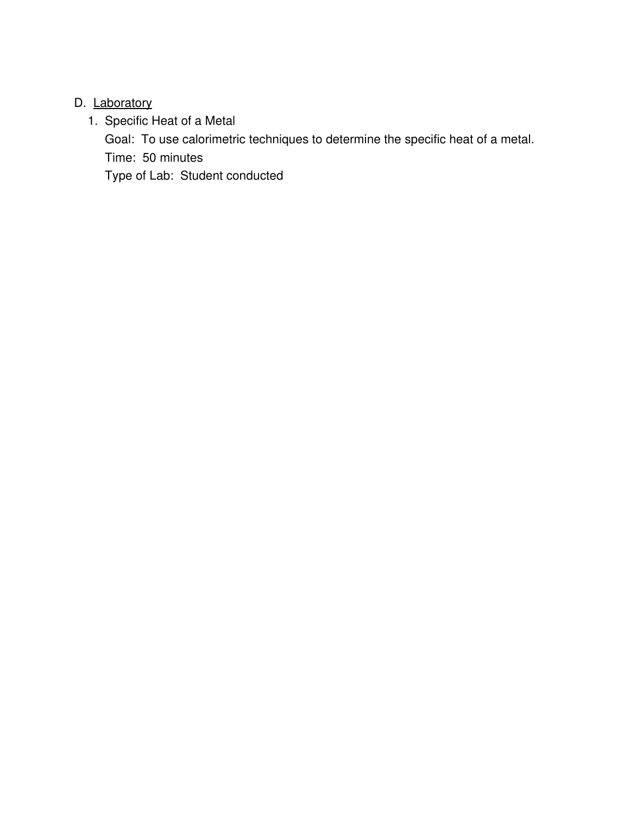### D. Laboratory

1. Specific Heat of a Metal

Goal: To use calorimetric techniques to determine the specific heat of a metal. Time: 50 minutes

Type of Lab: Student conducted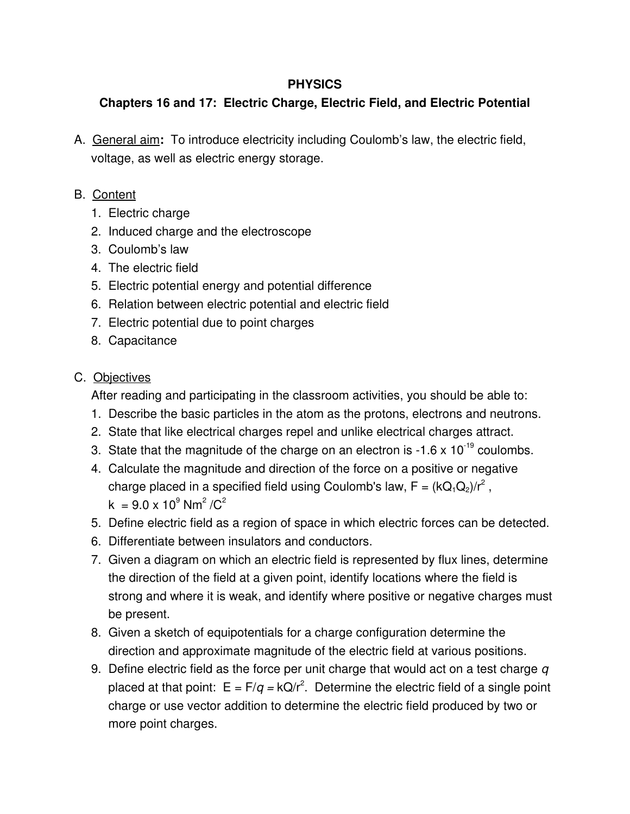# **Chapters 16 and 17: Electric Charge, Electric Field, and Electric Potential**

A. General aim**:** To introduce electricity including Coulomb's law, the electric field, voltage, as well as electric energy storage.

# B. Content

- 1. Electric charge
- 2. Induced charge and the electroscope
- 3. Coulomb's law
- 4. The electric field
- 5. Electric potential energy and potential difference
- 6. Relation between electric potential and electric field
- 7. Electric potential due to point charges
- 8. Capacitance

# C. Objectives

After reading and participating in the classroom activities, you should be able to:

- 1. Describe the basic particles in the atom as the protons, electrons and neutrons.
- 2. State that like electrical charges repel and unlike electrical charges attract.
- 3. State that the magnitude of the charge on an electron is  $-1.6 \times 10^{-19}$  coulombs.
- 4. Calculate the magnitude and direction of the force on a positive or negative charge placed in a specified field using Coulomb's law, F = (kQ<sub>1</sub>Q<sub>2</sub>)/r<sup>2</sup>,  $k = 9.0 \times 10^9$  Nm<sup>2</sup> /C<sup>2</sup>
- 5. Define electric field as a region of space in which electric forces can be detected.
- 6. Differentiate between insulators and conductors.
- 7. Given a diagram on which an electric field is represented by flux lines, determine the direction of the field at a given point, identify locations where the field is strong and where it is weak, and identify where positive or negative charges must be present.
- 8. Given a sketch of equipotentials for a charge configuration determine the direction and approximate magnitude of the electric field at various positions.
- 9. Define electric field as the force per unit charge that would act on a test charge *q* placed at that point:  $E = F/q = kQ/r^2$ . Determine the electric field of a single point charge or use vector addition to determine the electric field produced by two or more point charges.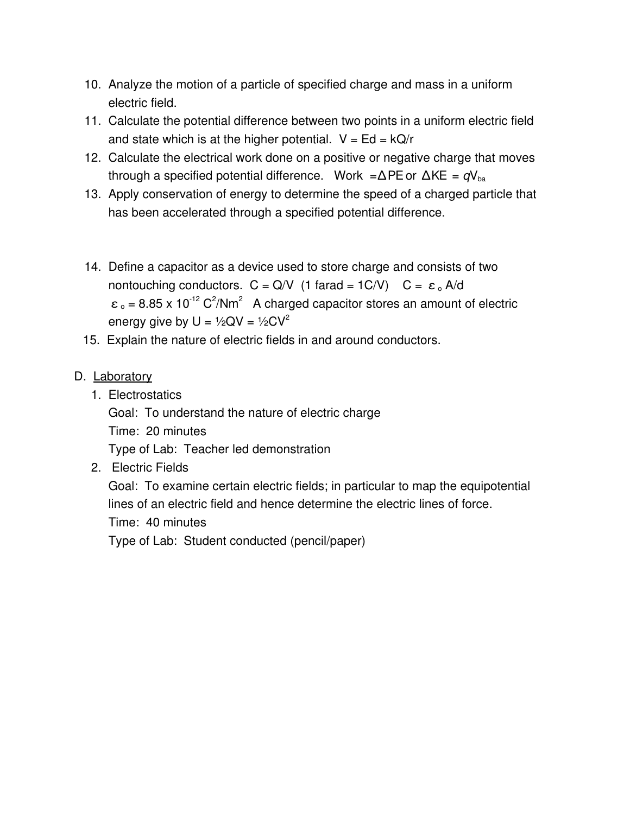- 10. Analyze the motion of a particle of specified charge and mass in a uniform electric field.
- 11. Calculate the potential difference between two points in a uniform electric field and state which is at the higher potential.  $V = Ed = kQ/r$
- 12. Calculate the electrical work done on a positive or negative charge that moves through a specified potential difference. Work = $\Delta$ PE or  $\Delta$ KE =  $qV_{ba}$
- 13. Apply conservation of energy to determine the speed of a charged particle that has been accelerated through a specified potential difference.
- 14. Define a capacitor as a device used to store charge and consists of two nontouching conductors.  $C = Q/V$  (1 farad = 1C/V)  $C = \varepsilon_0 A/d$  $\epsilon_0$  = 8.85 x 10<sup>-12</sup> C<sup>2</sup>/Nm<sup>2</sup> A charged capacitor stores an amount of electric energy give by  $U = \frac{1}{2}QV = \frac{1}{2}CV^2$
- 15. Explain the nature of electric fields in and around conductors.

#### D. Laboratory

1. Electrostatics

Goal: To understand the nature of electric charge

Time: 20 minutes

Type of Lab: Teacher led demonstration

2. Electric Fields

Goal: To examine certain electric fields; in particular to map the equipotential lines of an electric field and hence determine the electric lines of force.

Time: 40 minutes

Type of Lab: Student conducted (pencil/paper)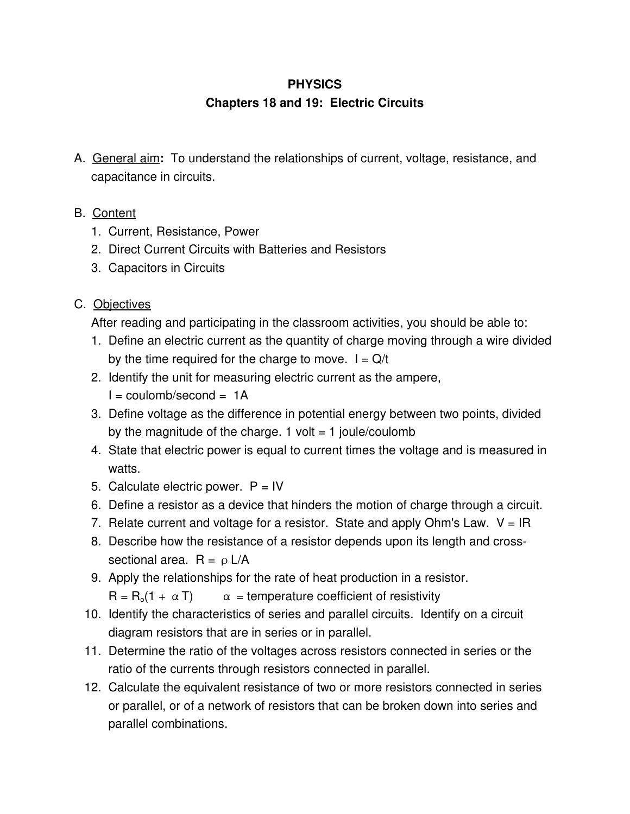## **Chapters 18 and 19: Electric Circuits**

- A. General aim**:** To understand the relationships of current, voltage, resistance, and capacitance in circuits.
- B. Content
	- 1. Current, Resistance, Power
	- 2. Direct Current Circuits with Batteries and Resistors
	- 3. Capacitors in Circuits

# C. Objectives

After reading and participating in the classroom activities, you should be able to:

- 1. Define an electric current as the quantity of charge moving through a wire divided by the time required for the charge to move.  $I = Q/t$
- 2. Identify the unit for measuring electric current as the ampere,

 $I = \text{coulomb/second} = 1$ A

- 3. Define voltage as the difference in potential energy between two points, divided by the magnitude of the charge. 1 volt  $=$  1 joule/coulomb
- 4. State that electric power is equal to current times the voltage and is measured in watts.
- 5. Calculate electric power.  $P = IV$
- 6. Define a resistor as a device that hinders the motion of charge through a circuit.
- 7. Relate current and voltage for a resistor. State and apply Ohm's Law.  $V = IR$
- 8. Describe how the resistance of a resistor depends upon its length and crosssectional area.  $R = \rho L/A$
- 9. Apply the relationships for the rate of heat production in a resistor.  $R = R_0(1 + \alpha T)$   $\alpha$  = temperature coefficient of resistivity
- 10. Identify the characteristics of series and parallel circuits. Identify on a circuit diagram resistors that are in series or in parallel.
- 11. Determine the ratio of the voltages across resistors connected in series or the ratio of the currents through resistors connected in parallel.
- 12. Calculate the equivalent resistance of two or more resistors connected in series or parallel, or of a network of resistors that can be broken down into series and parallel combinations.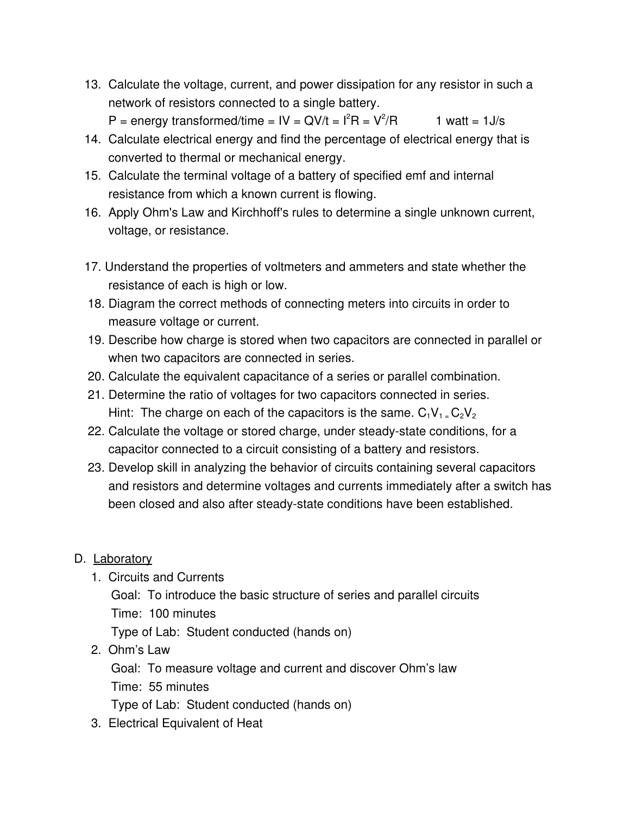13. Calculate the voltage, current, and power dissipation for any resistor in such a network of resistors connected to a single battery.

P = energy transformed/time =  $IV = QV/t = I<sup>2</sup>R = V<sup>2</sup>$ 1 watt =  $1J/s$ 

- 14. Calculate electrical energy and find the percentage of electrical energy that is converted to thermal or mechanical energy.
- 15. Calculate the terminal voltage of a battery of specified emf and internal resistance from which a known current is flowing.
- 16. Apply Ohm's Law and Kirchhoff's rules to determine a single unknown current, voltage, or resistance.
- 17. Understand the properties of voltmeters and ammeters and state whether the resistance of each is high or low.
- 18. Diagram the correct methods of connecting meters into circuits in order to measure voltage or current.
- 19. Describe how charge is stored when two capacitors are connected in parallel or when two capacitors are connected in series.
- 20. Calculate the equivalent capacitance of a series or parallel combination.
- 21. Determine the ratio of voltages for two capacitors connected in series. Hint: The charge on each of the capacitors is the same.  $C_1V_1 = C_2V_2$
- 22. Calculate the voltage or stored charge, under steady-state conditions, for a capacitor connected to a circuit consisting of a battery and resistors.
- 23. Develop skill in analyzing the behavior of circuits containing several capacitors and resistors and determine voltages and currents immediately after a switch has been closed and also after steady-state conditions have been established.

# D. Laboratory

- 1. Circuits and Currents
	- Goal: To introduce the basic structure of series and parallel circuits Time: 100 minutes Type of Lab: Student conducted (hands on)
- 2. Ohm's Law

Goal: To measure voltage and current and discover Ohm's law Time: 55 minutes Type of Lab: Student conducted (hands on)

3. Electrical Equivalent of Heat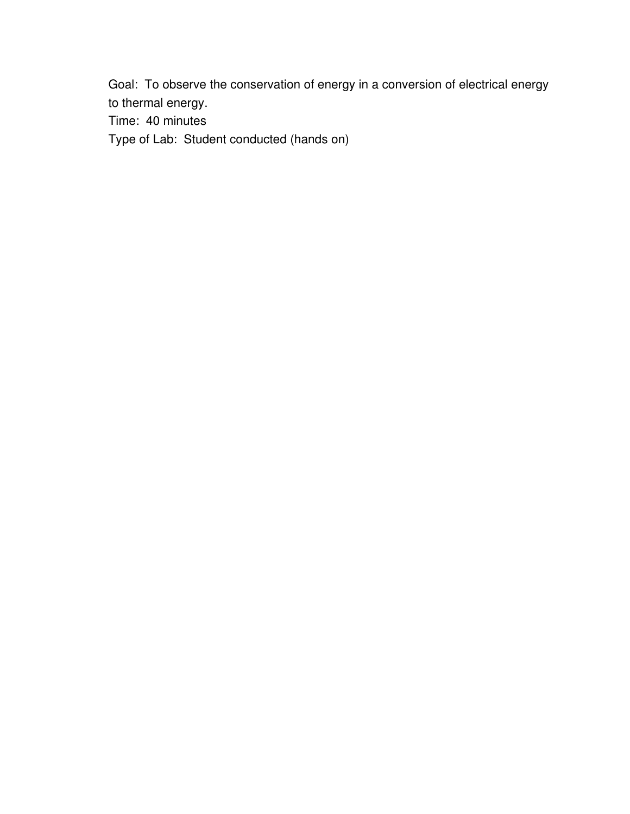Goal: To observe the conservation of energy in a conversion of electrical energy to thermal energy.

Time: 40 minutes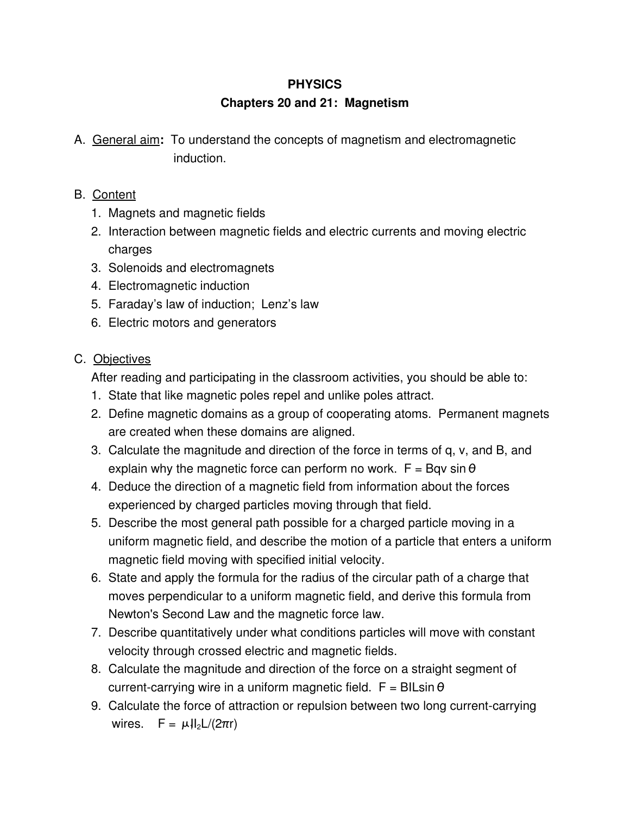#### **Chapters 20 and 21: Magnetism**

A. General aim**:** To understand the concepts of magnetism and electromagnetic induction.

#### B. Content

- 1. Magnets and magnetic fields
- 2. Interaction between magnetic fields and electric currents and moving electric charges
- 3. Solenoids and electromagnets
- 4. Electromagnetic induction
- 5. Faraday's law of induction; Lenz's law
- 6. Electric motors and generators

# C. Objectives

After reading and participating in the classroom activities, you should be able to:

- 1. State that like magnetic poles repel and unlike poles attract.
- 2. Define magnetic domains as a group of cooperating atoms. Permanent magnets are created when these domains are aligned.
- 3. Calculate the magnitude and direction of the force in terms of q, v, and B, and explain why the magnetic force can perform no work.  $F = Bqv \sin \theta$
- 4. Deduce the direction of a magnetic field from information about the forces experienced by charged particles moving through that field.
- 5. Describe the most general path possible for a charged particle moving in a uniform magnetic field, and describe the motion of a particle that enters a uniform magnetic field moving with specified initial velocity.
- 6. State and apply the formula for the radius of the circular path of a charge that moves perpendicular to a uniform magnetic field, and derive this formula from Newton's Second Law and the magnetic force law.
- 7. Describe quantitatively under what conditions particles will move with constant velocity through crossed electric and magnetic fields.
- 8. Calculate the magnitude and direction of the force on a straight segment of current-carrying wire in a uniform magnetic field.  $F = BILsin \theta$
- 9. Calculate the force of attraction or repulsion between two long current-carrying wires.  $F = \mu I_2 L/(2\pi r)$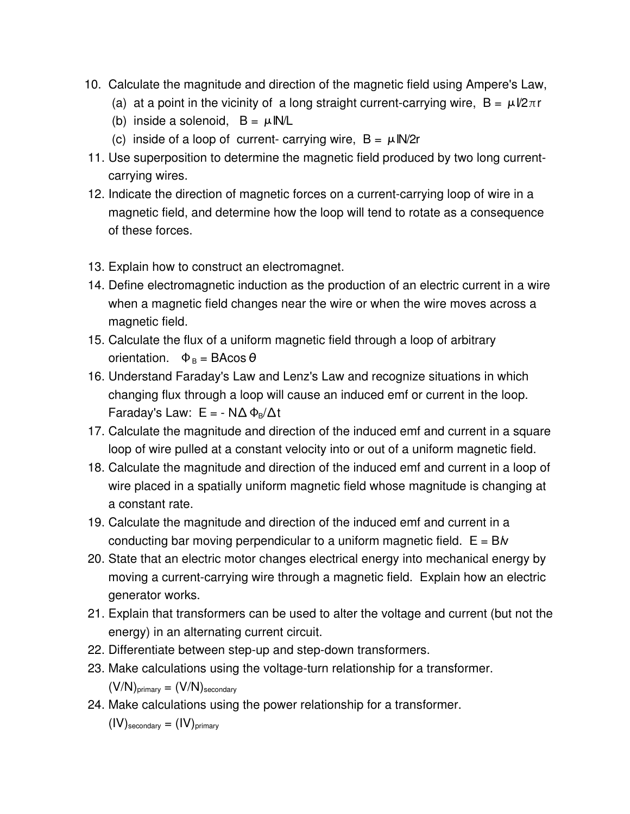- 10. Calculate the magnitude and direction of the magnetic field using Ampere's Law,
	- (a) at a point in the vicinity of a long straight current-carrying wire,  $B = \mu V 2\pi r$
	- (b) inside a solenoid,  $B = \mu I N/L$
	- (c) inside of a loop of current- carrying wire,  $B = \mu I N/2r$
- 11. Use superposition to determine the magnetic field produced by two long currentcarrying wires.
- 12. Indicate the direction of magnetic forces on a current-carrying loop of wire in a magnetic field, and determine how the loop will tend to rotate as a consequence of these forces.
- 13. Explain how to construct an electromagnet.
- 14. Define electromagnetic induction as the production of an electric current in a wire when a magnetic field changes near the wire or when the wire moves across a magnetic field.
- 15. Calculate the flux of a uniform magnetic field through a loop of arbitrary orientation.  $\Phi_B = BA \cos \theta$
- 16. Understand Faraday's Law and Lenz's Law and recognize situations in which changing flux through a loop will cause an induced emf or current in the loop. Faraday's Law:  $E = - N\Delta \Phi_B / \Delta t$
- 17. Calculate the magnitude and direction of the induced emf and current in a square loop of wire pulled at a constant velocity into or out of a uniform magnetic field.
- 18. Calculate the magnitude and direction of the induced emf and current in a loop of wire placed in a spatially uniform magnetic field whose magnitude is changing at a constant rate.
- 19. Calculate the magnitude and direction of the induced emf and current in a conducting bar moving perpendicular to a uniform magnetic field. E = B*l*v
- 20. State that an electric motor changes electrical energy into mechanical energy by moving a current-carrying wire through a magnetic field. Explain how an electric generator works.
- 21. Explain that transformers can be used to alter the voltage and current (but not the energy) in an alternating current circuit.
- 22. Differentiate between step-up and step-down transformers.
- 23. Make calculations using the voltage-turn relationship for a transformer.  $(V/N)_{\text{primary}} = (V/N)_{\text{secondary}}$
- 24. Make calculations using the power relationship for a transformer.

 $(IV)$ <sub>secondary</sub> =  $(IV)$ <sub>primary</sub>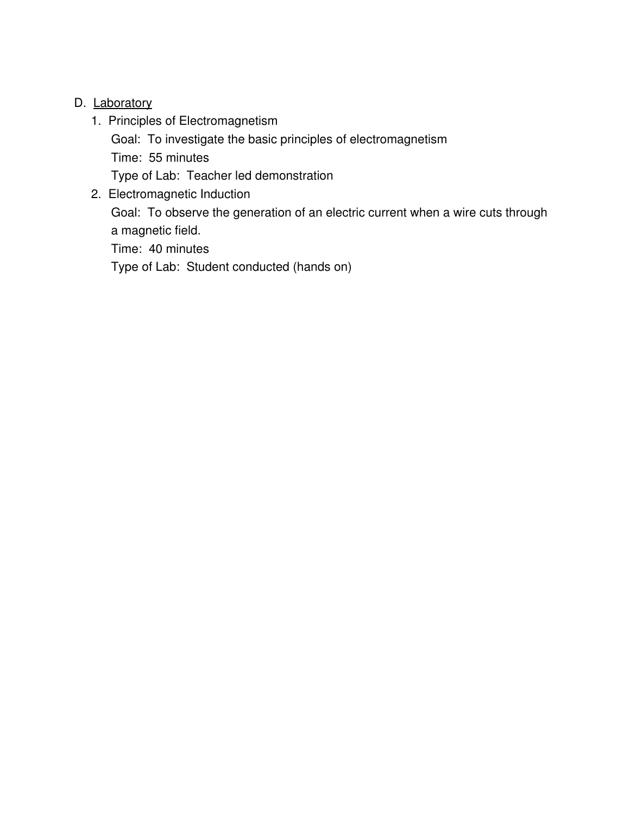#### D. Laboratory

- 1. Principles of Electromagnetism
	- Goal: To investigate the basic principles of electromagnetism Time: 55 minutes

Type of Lab: Teacher led demonstration

2. Electromagnetic Induction

Goal: To observe the generation of an electric current when a wire cuts through a magnetic field.

Time: 40 minutes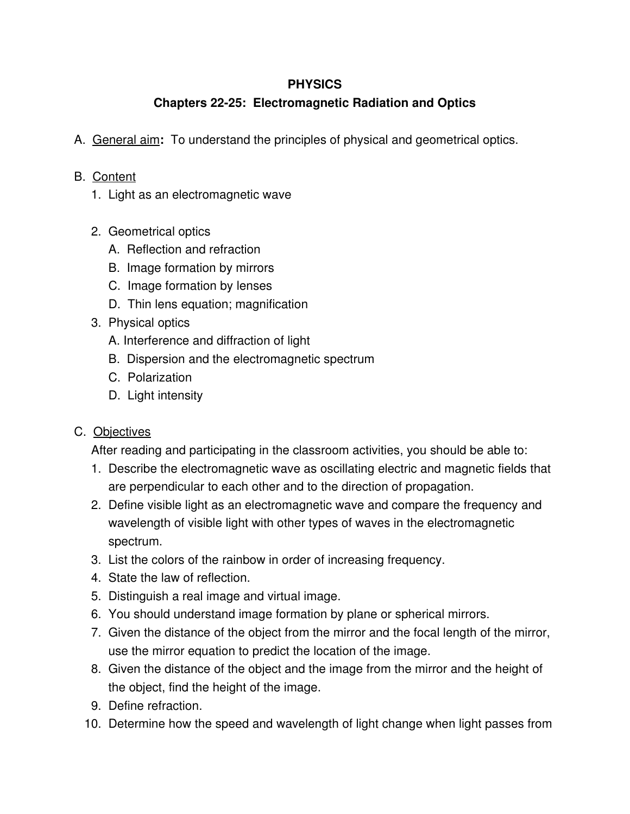# **Chapters 2225: Electromagnetic Radiation and Optics**

A. General aim**:** To understand the principles of physical and geometrical optics.

#### B. Content

- 1. Light as an electromagnetic wave
- 2. Geometrical optics
	- A. Reflection and refraction
	- B. Image formation by mirrors
	- C. Image formation by lenses
	- D. Thin lens equation; magnification
- 3. Physical optics
	- A. Interference and diffraction of light
	- B. Dispersion and the electromagnetic spectrum
	- C. Polarization
	- D. Light intensity

#### C. Objectives

After reading and participating in the classroom activities, you should be able to:

- 1. Describe the electromagnetic wave as oscillating electric and magnetic fields that are perpendicular to each other and to the direction of propagation.
- 2. Define visible light as an electromagnetic wave and compare the frequency and wavelength of visible light with other types of waves in the electromagnetic spectrum.
- 3. List the colors of the rainbow in order of increasing frequency.
- 4. State the law of reflection.
- 5. Distinguish a real image and virtual image.
- 6. You should understand image formation by plane or spherical mirrors.
- 7. Given the distance of the object from the mirror and the focal length of the mirror, use the mirror equation to predict the location of the image.
- 8. Given the distance of the object and the image from the mirror and the height of the object, find the height of the image.
- 9. Define refraction.
- 10. Determine how the speed and wavelength of light change when light passes from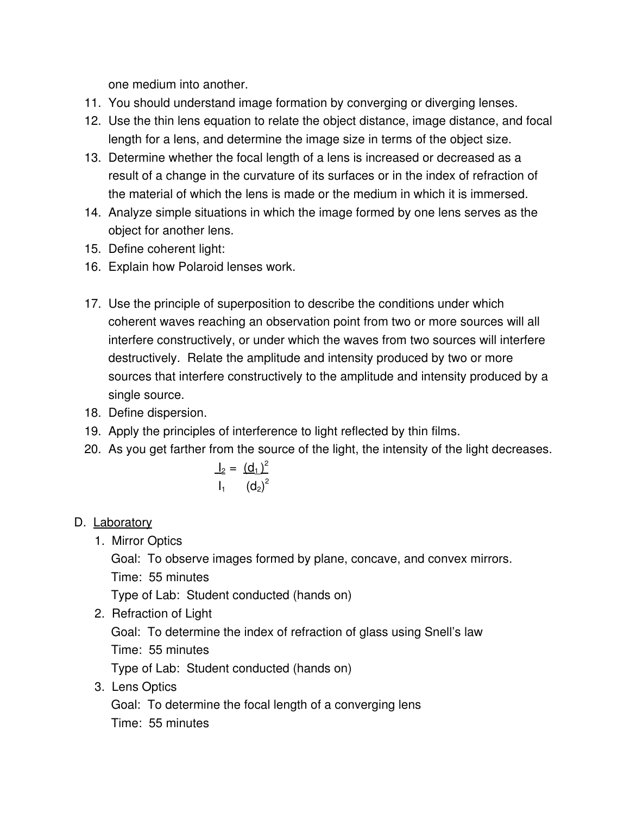one medium into another.

- 11. You should understand image formation by converging or diverging lenses.
- 12. Use the thin lens equation to relate the object distance, image distance, and focal length for a lens, and determine the image size in terms of the object size.
- 13. Determine whether the focal length of a lens is increased or decreased as a result of a change in the curvature of its surfaces or in the index of refraction of the material of which the lens is made or the medium in which it is immersed.
- 14. Analyze simple situations in which the image formed by one lens serves as the object for another lens.
- 15. Define coherent light:
- 16. Explain how Polaroid lenses work.
- 17. Use the principle of superposition to describe the conditions under which coherent waves reaching an observation point from two or more sources will all interfere constructively, or under which the waves from two sources will interfere destructively. Relate the amplitude and intensity produced by two or more sources that interfere constructively to the amplitude and intensity produced by a single source.
- 18. Define dispersion.
- 19. Apply the principles of interference to light reflected by thin films.
- 20. As you get farther from the source of the light, the intensity of the light decreases.

$$
\frac{I_2}{I_1} = \frac{(d_1)^2}{(d_2)^2}
$$

# D. Laboratory

1. Mirror Optics

Goal: To observe images formed by plane, concave, and convex mirrors. Time: 55 minutes

Type of Lab: Student conducted (hands on)

2. Refraction of Light

Goal: To determine the index of refraction of glass using Snell's law

Time: 55 minutes

Type of Lab: Student conducted (hands on)

3. Lens Optics

Goal: To determine the focal length of a converging lens Time: 55 minutes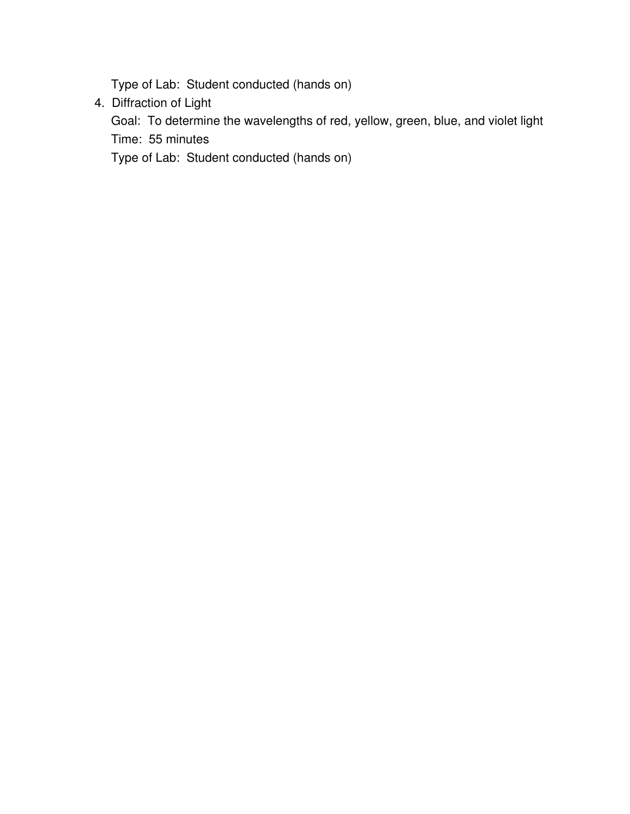Type of Lab: Student conducted (hands on)

4. Diffraction of Light

Goal: To determine the wavelengths of red, yellow, green, blue, and violet light Time: 55 minutes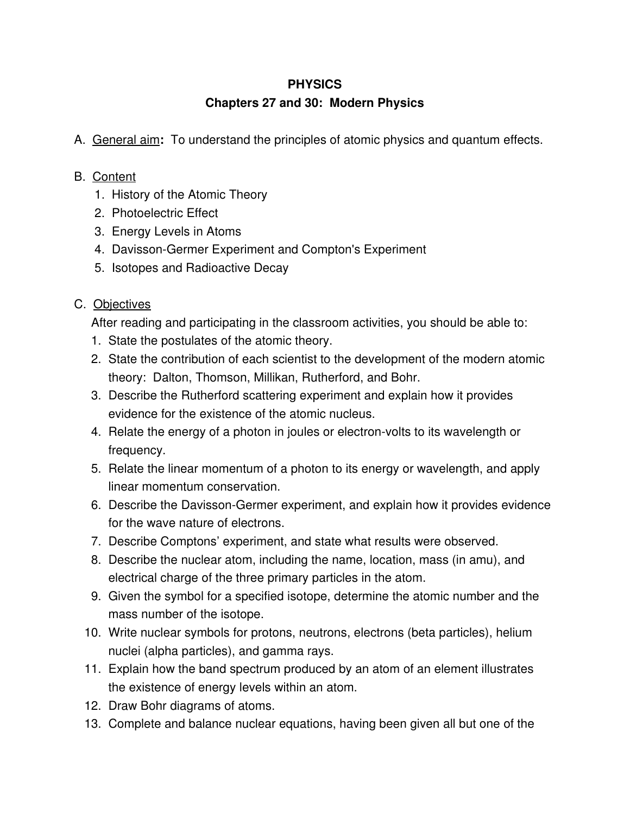# **Chapters 27 and 30: Modern Physics**

A. General aim**:** To understand the principles of atomic physics and quantum effects.

## B. Content

- 1. History of the Atomic Theory
- 2. Photoelectric Effect
- 3. Energy Levels in Atoms
- 4. Davisson-Germer Experiment and Compton's Experiment
- 5. Isotopes and Radioactive Decay

# C. Objectives

After reading and participating in the classroom activities, you should be able to:

- 1. State the postulates of the atomic theory.
- 2. State the contribution of each scientist to the development of the modern atomic theory: Dalton, Thomson, Millikan, Rutherford, and Bohr.
- 3. Describe the Rutherford scattering experiment and explain how it provides evidence for the existence of the atomic nucleus.
- 4. Relate the energy of a photon in joules or electron-volts to its wavelength or frequency.
- 5. Relate the linear momentum of a photon to its energy or wavelength, and apply linear momentum conservation.
- 6. Describe the Davisson-Germer experiment, and explain how it provides evidence for the wave nature of electrons.
- 7. Describe Comptons' experiment, and state what results were observed.
- 8. Describe the nuclear atom, including the name, location, mass (in amu), and electrical charge of the three primary particles in the atom.
- 9. Given the symbol for a specified isotope, determine the atomic number and the mass number of the isotope.
- 10. Write nuclear symbols for protons, neutrons, electrons (beta particles), helium nuclei (alpha particles), and gamma rays.
- 11. Explain how the band spectrum produced by an atom of an element illustrates the existence of energy levels within an atom.
- 12. Draw Bohr diagrams of atoms.
- 13. Complete and balance nuclear equations, having been given all but one of the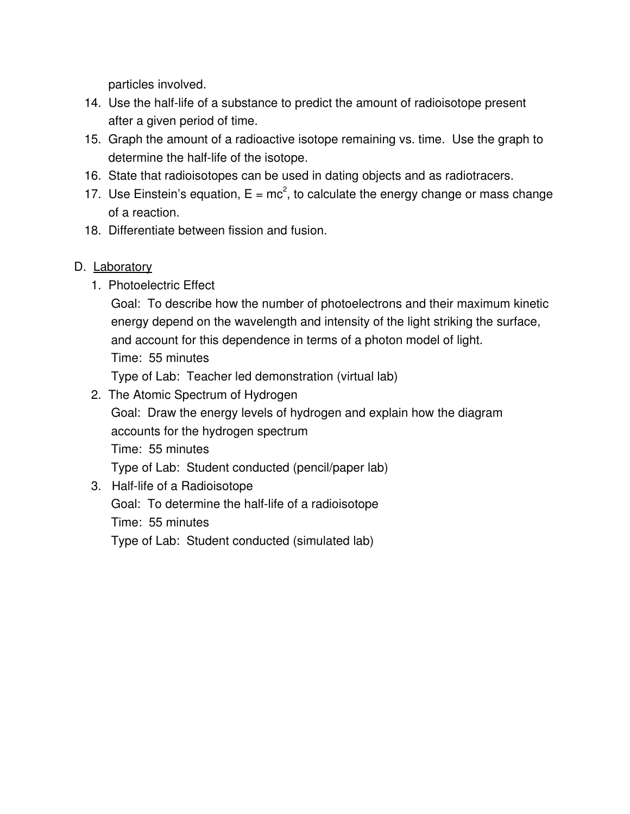particles involved.

- 14. Use the half-life of a substance to predict the amount of radioisotope present after a given period of time.
- 15. Graph the amount of a radioactive isotope remaining vs. time. Use the graph to determine the half-life of the isotope.
- 16. State that radioisotopes can be used in dating objects and as radiotracers.
- 17. Use Einstein's equation,  $E = mc^2$ , to calculate the energy change or mass change of a reaction.
- 18. Differentiate between fission and fusion.

#### D. Laboratory

1. Photoelectric Effect

Goal: To describe how the number of photoelectrons and their maximum kinetic energy depend on the wavelength and intensity of the light striking the surface, and account for this dependence in terms of a photon model of light. Time: 55 minutes Type of Lab: Teacher led demonstration (virtual lab)

- 2. The Atomic Spectrum of Hydrogen
- Goal: Draw the energy levels of hydrogen and explain how the diagram accounts for the hydrogen spectrum Time: 55 minutes Type of Lab: Student conducted (pencil/paper lab)
- 3. Half-life of a Radioisotope Goal: To determine the half-life of a radioisotope Time: 55 minutes Type of Lab: Student conducted (simulated lab)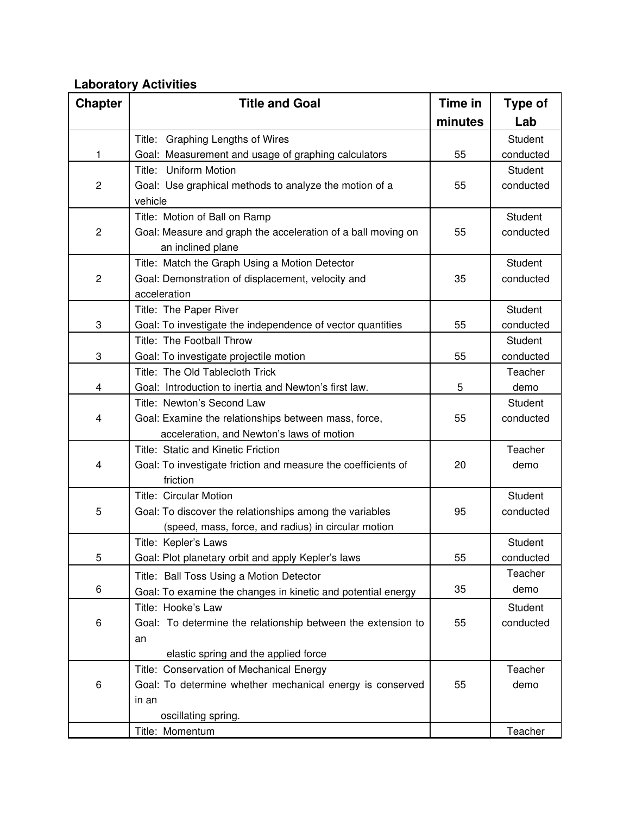#### **Laboratory Activities**

| <b>Chapter</b> | <b>Title and Goal</b>                                         | Time in | <b>Type of</b> |
|----------------|---------------------------------------------------------------|---------|----------------|
|                |                                                               | minutes | Lab            |
|                | Title: Graphing Lengths of Wires                              |         | Student        |
| 1              | Goal: Measurement and usage of graphing calculators           | 55      | conducted      |
|                | Title: Uniform Motion                                         |         | Student        |
| $\overline{c}$ | Goal: Use graphical methods to analyze the motion of a        | 55      | conducted      |
|                | vehicle                                                       |         |                |
|                | Title: Motion of Ball on Ramp                                 |         | Student        |
| $\overline{c}$ | Goal: Measure and graph the acceleration of a ball moving on  | 55      | conducted      |
|                | an inclined plane                                             |         |                |
|                | Title: Match the Graph Using a Motion Detector                |         | Student        |
| $\overline{c}$ | Goal: Demonstration of displacement, velocity and             | 35      | conducted      |
|                | acceleration                                                  |         |                |
|                | Title: The Paper River                                        |         | Student        |
| 3              | Goal: To investigate the independence of vector quantities    | 55      | conducted      |
|                | Title: The Football Throw                                     |         | Student        |
| 3              | Goal: To investigate projectile motion                        | 55      | conducted      |
|                | Title: The Old Tablecloth Trick                               |         | Teacher        |
| 4              | Goal: Introduction to inertia and Newton's first law.         | 5       | demo           |
|                | Title: Newton's Second Law                                    |         | Student        |
| 4              | Goal: Examine the relationships between mass, force,          | 55      | conducted      |
|                | acceleration, and Newton's laws of motion                     |         |                |
|                | Title: Static and Kinetic Friction                            |         | Teacher        |
| 4              | Goal: To investigate friction and measure the coefficients of | 20      | demo           |
|                | friction                                                      |         |                |
|                | <b>Title: Circular Motion</b>                                 |         | Student        |
| 5              | Goal: To discover the relationships among the variables       | 95      | conducted      |
|                | (speed, mass, force, and radius) in circular motion           |         |                |
|                | Title: Kepler's Laws                                          |         | Student        |
| 5              | Goal: Plot planetary orbit and apply Kepler's laws            | 55      | conducted      |
|                | Title: Ball Toss Using a Motion Detector                      |         | Teacher        |
| 6              | Goal: To examine the changes in kinetic and potential energy  | 35      | demo           |
|                | Title: Hooke's Law                                            |         | Student        |
| 6              | Goal: To determine the relationship between the extension to  | 55      | conducted      |
|                | an                                                            |         |                |
|                | elastic spring and the applied force                          |         |                |
|                | Title: Conservation of Mechanical Energy                      |         | Teacher        |
| 6              | Goal: To determine whether mechanical energy is conserved     | 55      | demo           |
|                | in an                                                         |         |                |
|                | oscillating spring.                                           |         |                |
|                | Title: Momentum                                               |         | Teacher        |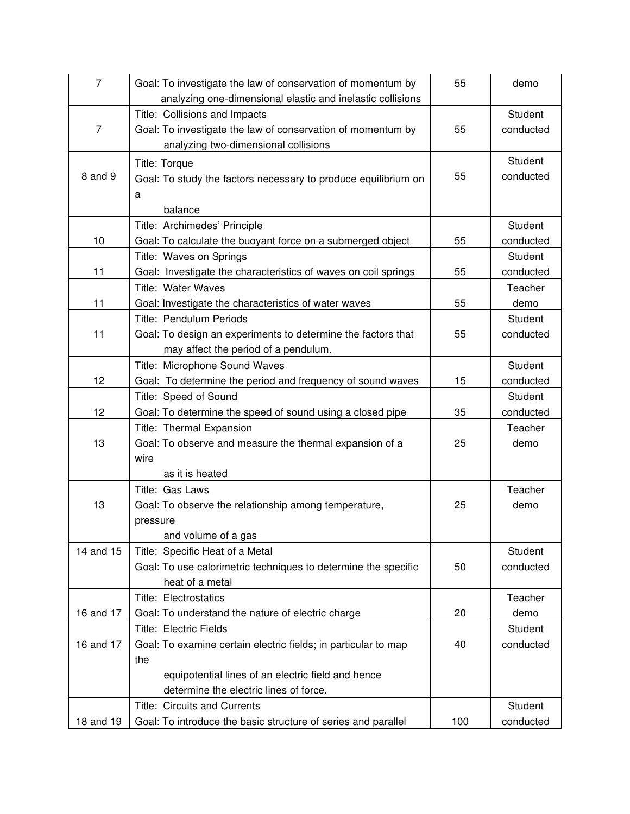| $\overline{7}$ | Goal: To investigate the law of conservation of momentum by<br>analyzing one-dimensional elastic and inelastic collisions | 55  | demo                 |
|----------------|---------------------------------------------------------------------------------------------------------------------------|-----|----------------------|
|                | Title: Collisions and Impacts                                                                                             |     | Student              |
| $\overline{7}$ | Goal: To investigate the law of conservation of momentum by                                                               | 55  | conducted            |
|                | analyzing two-dimensional collisions                                                                                      |     |                      |
|                | <b>Title: Torque</b>                                                                                                      |     | Student              |
| 8 and 9        | Goal: To study the factors necessary to produce equilibrium on                                                            | 55  | conducted            |
|                | a                                                                                                                         |     |                      |
|                | balance                                                                                                                   |     |                      |
|                | Title: Archimedes' Principle                                                                                              |     | Student              |
| 10             | Goal: To calculate the buoyant force on a submerged object                                                                | 55  | conducted            |
|                | Title: Waves on Springs                                                                                                   |     | Student              |
| 11             | Goal: Investigate the characteristics of waves on coil springs                                                            | 55  | conducted            |
|                | Title: Water Waves                                                                                                        |     | Teacher              |
| 11             | Goal: Investigate the characteristics of water waves                                                                      | 55  | demo                 |
|                | Title: Pendulum Periods                                                                                                   |     | Student              |
| 11             | Goal: To design an experiments to determine the factors that                                                              | 55  | conducted            |
|                | may affect the period of a pendulum.                                                                                      |     |                      |
|                | Title: Microphone Sound Waves                                                                                             |     | Student              |
| 12             | Goal: To determine the period and frequency of sound waves                                                                | 15  | conducted            |
|                | Title: Speed of Sound                                                                                                     |     | Student              |
| 12             | Goal: To determine the speed of sound using a closed pipe                                                                 | 35  | conducted            |
|                | Title: Thermal Expansion                                                                                                  |     | Teacher              |
| 13             | Goal: To observe and measure the thermal expansion of a                                                                   | 25  | demo                 |
|                | wire                                                                                                                      |     |                      |
|                | as it is heated                                                                                                           |     |                      |
|                | Title: Gas Laws                                                                                                           |     | Teacher              |
| 13             | Goal: To observe the relationship among temperature,                                                                      | 25  | demo                 |
|                | pressure                                                                                                                  |     |                      |
|                | and volume of a gas                                                                                                       |     |                      |
| 14 and 15      | Title: Specific Heat of a Metal                                                                                           |     | Student              |
|                | Goal: To use calorimetric techniques to determine the specific                                                            | 50  | conducted            |
|                | heat of a metal                                                                                                           |     |                      |
|                | <b>Title: Electrostatics</b>                                                                                              |     | Teacher              |
| 16 and 17      | Goal: To understand the nature of electric charge                                                                         | 20  | demo                 |
| 16 and 17      | <b>Title: Electric Fields</b><br>Goal: To examine certain electric fields; in particular to map                           | 40  | Student<br>conducted |
|                | the                                                                                                                       |     |                      |
|                | equipotential lines of an electric field and hence                                                                        |     |                      |
|                | determine the electric lines of force.                                                                                    |     |                      |
|                | Title: Circuits and Currents                                                                                              |     | Student              |
| 18 and 19      | Goal: To introduce the basic structure of series and parallel                                                             | 100 | conducted            |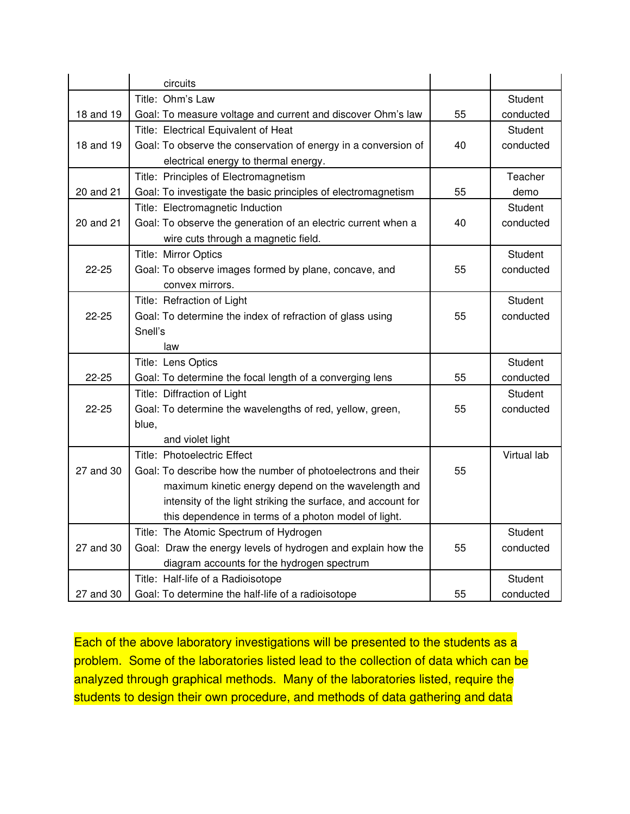|           | circuits                                                       |    |                |
|-----------|----------------------------------------------------------------|----|----------------|
|           | Title: Ohm's Law                                               |    | Student        |
| 18 and 19 | Goal: To measure voltage and current and discover Ohm's law    | 55 | conducted      |
|           | Title: Electrical Equivalent of Heat                           |    | <b>Student</b> |
| 18 and 19 | Goal: To observe the conservation of energy in a conversion of | 40 | conducted      |
|           | electrical energy to thermal energy.                           |    |                |
|           | Title: Principles of Electromagnetism                          |    | Teacher        |
| 20 and 21 | Goal: To investigate the basic principles of electromagnetism  | 55 | demo           |
|           | Title: Electromagnetic Induction                               |    | <b>Student</b> |
| 20 and 21 | Goal: To observe the generation of an electric current when a  | 40 | conducted      |
|           | wire cuts through a magnetic field.                            |    |                |
|           | Title: Mirror Optics                                           |    | Student        |
| $22 - 25$ | Goal: To observe images formed by plane, concave, and          | 55 | conducted      |
|           | convex mirrors.                                                |    |                |
|           | Title: Refraction of Light                                     |    | Student        |
| $22 - 25$ | Goal: To determine the index of refraction of glass using      | 55 | conducted      |
|           | Snell's                                                        |    |                |
|           | law                                                            |    |                |
|           | Title: Lens Optics                                             |    | Student        |
| 22-25     | Goal: To determine the focal length of a converging lens       | 55 | conducted      |
|           | Title: Diffraction of Light                                    |    | Student        |
| $22 - 25$ | Goal: To determine the wavelengths of red, yellow, green,      | 55 | conducted      |
|           | blue,                                                          |    |                |
|           | and violet light                                               |    |                |
|           | Title: Photoelectric Effect                                    |    | Virtual lab    |
| 27 and 30 | Goal: To describe how the number of photoelectrons and their   | 55 |                |
|           | maximum kinetic energy depend on the wavelength and            |    |                |
|           | intensity of the light striking the surface, and account for   |    |                |
|           | this dependence in terms of a photon model of light.           |    |                |
|           | Title: The Atomic Spectrum of Hydrogen                         |    | Student        |
| 27 and 30 | Goal: Draw the energy levels of hydrogen and explain how the   | 55 | conducted      |
|           | diagram accounts for the hydrogen spectrum                     |    |                |
|           | Title: Half-life of a Radioisotope                             |    | Student        |
| 27 and 30 | Goal: To determine the half-life of a radioisotope             | 55 | conducted      |

Each of the above laboratory investigations will be presented to the students as a problem. Some of the laboratories listed lead to the collection of data which can be analyzed through graphical methods. Many of the laboratories listed, require the students to design their own procedure, and methods of data gathering and data